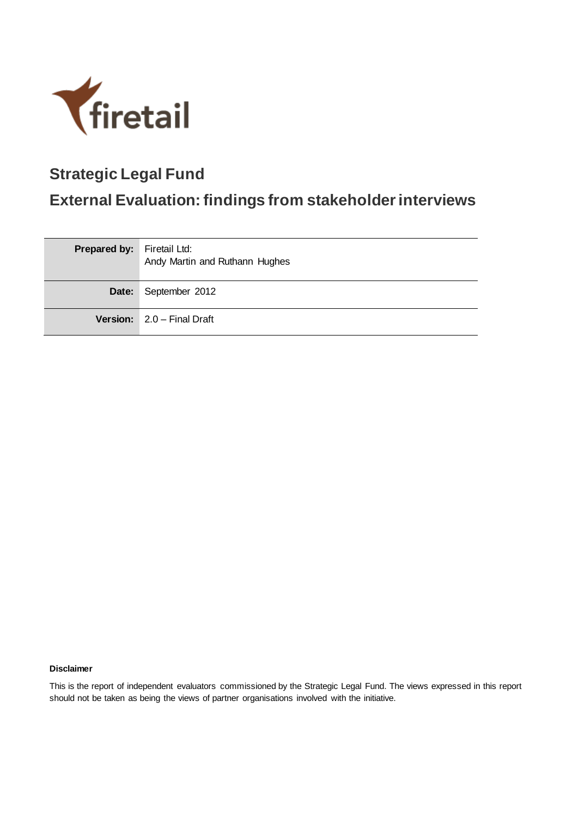

# **Strategic Legal Fund**

# **External Evaluation: findings from stakeholder interviews**

| <b>Prepared by:</b> Firetail Ltd: | Andy Martin and Ruthann Hughes |
|-----------------------------------|--------------------------------|
|                                   | Date: September 2012           |
|                                   | Version: 2.0 - Final Draft     |

#### **Disclaimer**

This is the report of independent evaluators commissioned by the Strategic Legal Fund. The views expressed in this report should not be taken as being the views of partner organisations involved with the initiative.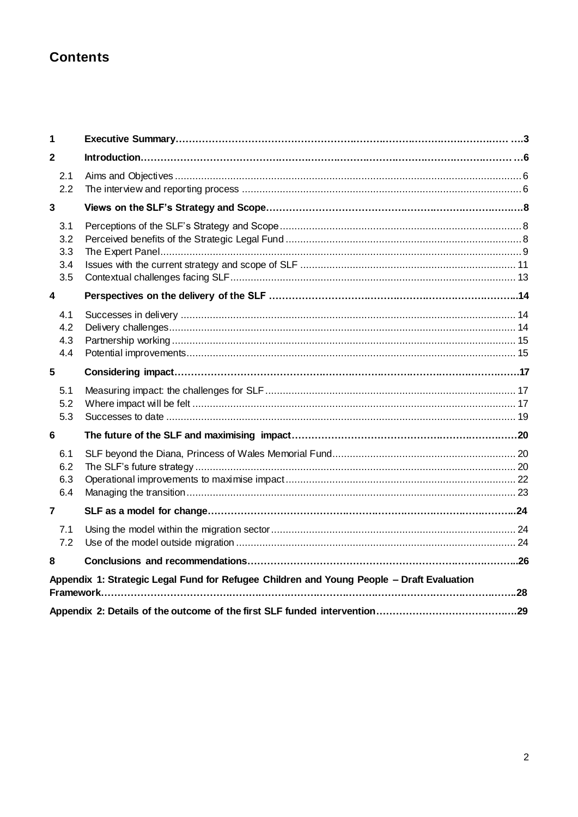## **Contents**

| 1                               |                                                                                           |  |
|---------------------------------|-------------------------------------------------------------------------------------------|--|
| $\overline{\mathbf{2}}$         |                                                                                           |  |
| 2.1<br>2.2                      |                                                                                           |  |
| 3                               |                                                                                           |  |
| 3.1<br>3.2<br>3.3<br>3.4<br>3.5 |                                                                                           |  |
| 4                               |                                                                                           |  |
| 4.1<br>4.2<br>4.3<br>4.4        |                                                                                           |  |
| 5                               |                                                                                           |  |
| 5.1<br>5.2<br>5.3               |                                                                                           |  |
| 6                               |                                                                                           |  |
| 6.1<br>6.2<br>6.3<br>6.4        |                                                                                           |  |
| $\overline{\mathbf{r}}$         |                                                                                           |  |
| 7.1<br>7.2                      |                                                                                           |  |
| 8                               |                                                                                           |  |
|                                 | Appendix 1: Strategic Legal Fund for Refugee Children and Young People - Draft Evaluation |  |
|                                 |                                                                                           |  |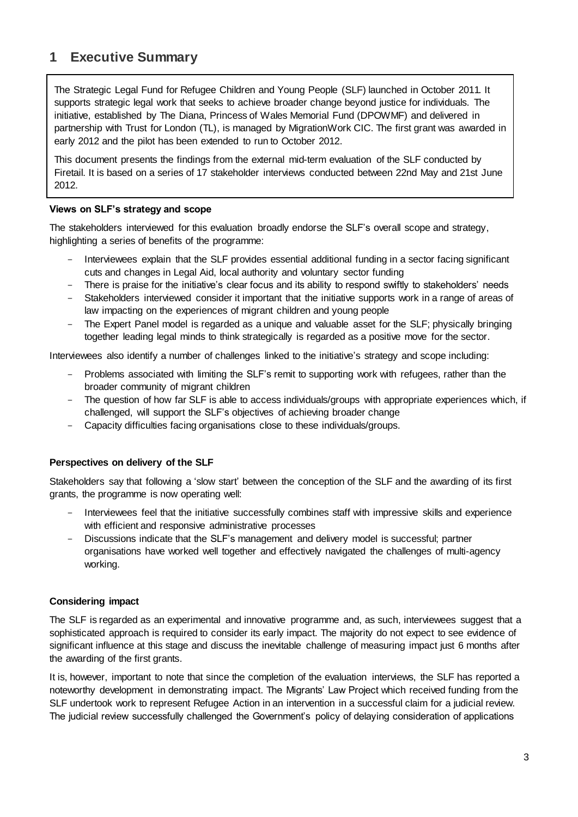## **1 Executive Summary**

The Strategic Legal Fund for Refugee Children and Young People (SLF) launched in October 2011. It supports strategic legal work that seeks to achieve broader change beyond justice for individuals. The initiative, established by The Diana, Princess of Wales Memorial Fund (DPOWMF) and delivered in partnership with Trust for London (TL), is managed by MigrationWork CIC. The first grant was awarded in early 2012 and the pilot has been extended to run to October 2012.

This document presents the findings from the external mid-term evaluation of the SLF conducted by Firetail. It is based on a series of 17 stakeholder interviews conducted between 22nd May and 21st June 2012.

### **Views on SLF's strategy and scope**

The stakeholders interviewed for this evaluation broadly endorse the SLF's overall scope and strategy, highlighting a series of benefits of the programme:

- Interviewees explain that the SLF provides essential additional funding in a sector facing significant cuts and changes in Legal Aid, local authority and voluntary sector funding
- There is praise for the initiative's clear focus and its ability to respond swiftly to stakeholders' needs
- Stakeholders interviewed consider it important that the initiative supports work in a range of areas of law impacting on the experiences of migrant children and young people
- The Expert Panel model is regarded as a unique and valuable asset for the SLF; physically bringing together leading legal minds to think strategically is regarded as a positive move for the sector.

Interviewees also identify a number of challenges linked to the initiative's strategy and scope including:

- Problems associated with limiting the SLF's remit to supporting work with refugees, rather than the broader community of migrant children
- The question of how far SLF is able to access individuals/groups with appropriate experiences which, if challenged, will support the SLF's objectives of achieving broader change
- Capacity difficulties facing organisations close to these individuals/groups.

### **Perspectives on delivery of the SLF**

Stakeholders say that following a 'slow start' between the conception of the SLF and the awarding of its first grants, the programme is now operating well:

- Interviewees feel that the initiative successfully combines staff with impressive skills and experience with efficient and responsive administrative processes
- Discussions indicate that the SLF's management and delivery model is successful; partner organisations have worked well together and effectively navigated the challenges of multi-agency working.

### **Considering impact**

The SLF is regarded as an experimental and innovative programme and, as such, interviewees suggest that a sophisticated approach is required to consider its early impact. The majority do not expect to see evidence of significant influence at this stage and discuss the inevitable challenge of measuring impact just 6 months after the awarding of the first grants.

It is, however, important to note that since the completion of the evaluation interviews, the SLF has reported a noteworthy development in demonstrating impact. The Migrants' Law Project which received funding from the SLF undertook work to represent Refugee Action in an intervention in a successful claim for a judicial review. The judicial review successfully challenged the Government's policy of delaying consideration of applications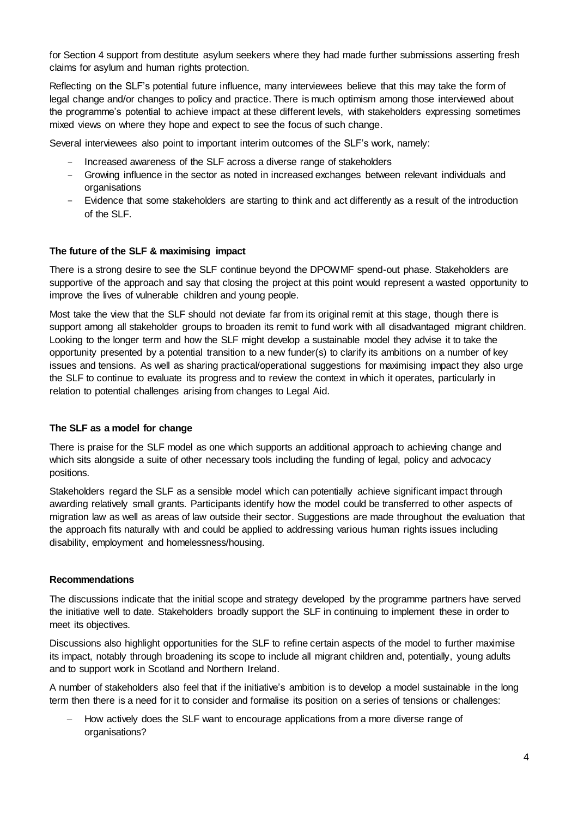for Section 4 support from destitute asylum seekers where they had made further submissions asserting fresh claims for asylum and human rights protection.

Reflecting on the SLF's potential future influence, many interviewees believe that this may take the form of legal change and/or changes to policy and practice. There is much optimism among those interviewed about the programme's potential to achieve impact at these different levels, with stakeholders expressing sometimes mixed views on where they hope and expect to see the focus of such change.

Several interviewees also point to important interim outcomes of the SLF's work, namely:

- Increased awareness of the SLF across a diverse range of stakeholders
- Growing influence in the sector as noted in increased exchanges between relevant individuals and organisations
- Evidence that some stakeholders are starting to think and act differently as a result of the introduction of the SLF.

### **The future of the SLF & maximising impact**

There is a strong desire to see the SLF continue beyond the DPOWMF spend-out phase. Stakeholders are supportive of the approach and say that closing the project at this point would represent a wasted opportunity to improve the lives of vulnerable children and young people.

Most take the view that the SLF should not deviate far from its original remit at this stage, though there is support among all stakeholder groups to broaden its remit to fund work with all disadvantaged migrant children. Looking to the longer term and how the SLF might develop a sustainable model they advise it to take the opportunity presented by a potential transition to a new funder(s) to clarify its ambitions on a number of key issues and tensions. As well as sharing practical/operational suggestions for maximising impact they also urge the SLF to continue to evaluate its progress and to review the context in which it operates, particularly in relation to potential challenges arising from changes to Legal Aid.

#### **The SLF as a model for change**

There is praise for the SLF model as one which supports an additional approach to achieving change and which sits alongside a suite of other necessary tools including the funding of legal, policy and advocacy positions.

Stakeholders regard the SLF as a sensible model which can potentially achieve significant impact through awarding relatively small grants. Participants identify how the model could be transferred to other aspects of migration law as well as areas of law outside their sector. Suggestions are made throughout the evaluation that the approach fits naturally with and could be applied to addressing various human rights issues including disability, employment and homelessness/housing.

#### **Recommendations**

The discussions indicate that the initial scope and strategy developed by the programme partners have served the initiative well to date. Stakeholders broadly support the SLF in continuing to implement these in order to meet its objectives.

Discussions also highlight opportunities for the SLF to refine certain aspects of the model to further maximise its impact, notably through broadening its scope to include all migrant children and, potentially, young adults and to support work in Scotland and Northern Ireland.

A number of stakeholders also feel that if the initiative's ambition is to develop a model sustainable in the long term then there is a need for it to consider and formalise its position on a series of tensions or challenges:

– How actively does the SLF want to encourage applications from a more diverse range of organisations?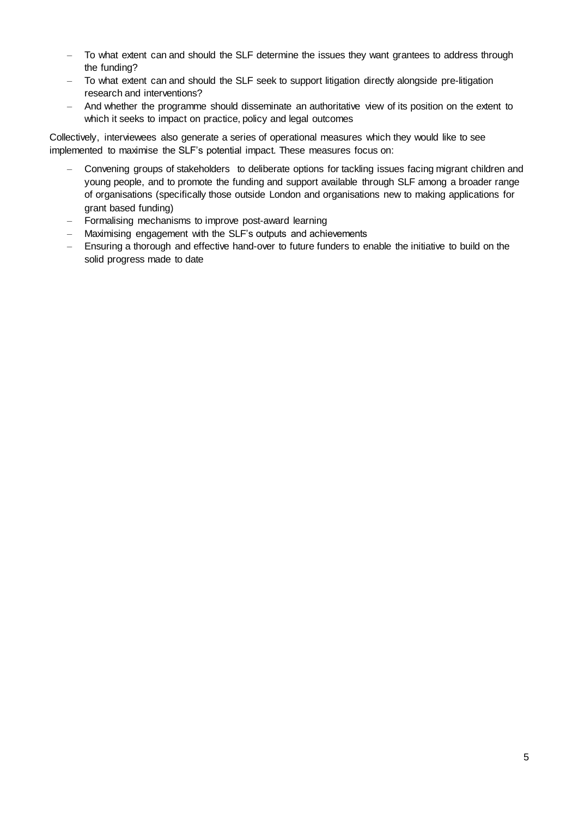- To what extent can and should the SLF determine the issues they want grantees to address through the funding?
- To what extent can and should the SLF seek to support litigation directly alongside pre-litigation research and interventions?
- And whether the programme should disseminate an authoritative view of its position on the extent to which it seeks to impact on practice, policy and legal outcomes

Collectively, interviewees also generate a series of operational measures which they would like to see implemented to maximise the SLF's potential impact. These measures focus on:

- Convening groups of stakeholders to deliberate options for tackling issues facing migrant children and young people, and to promote the funding and support available through SLF among a broader range of organisations (specifically those outside London and organisations new to making applications for grant based funding)
- Formalising mechanisms to improve post-award learning
- Maximising engagement with the SLF's outputs and achievements
- Ensuring a thorough and effective hand-over to future funders to enable the initiative to build on the solid progress made to date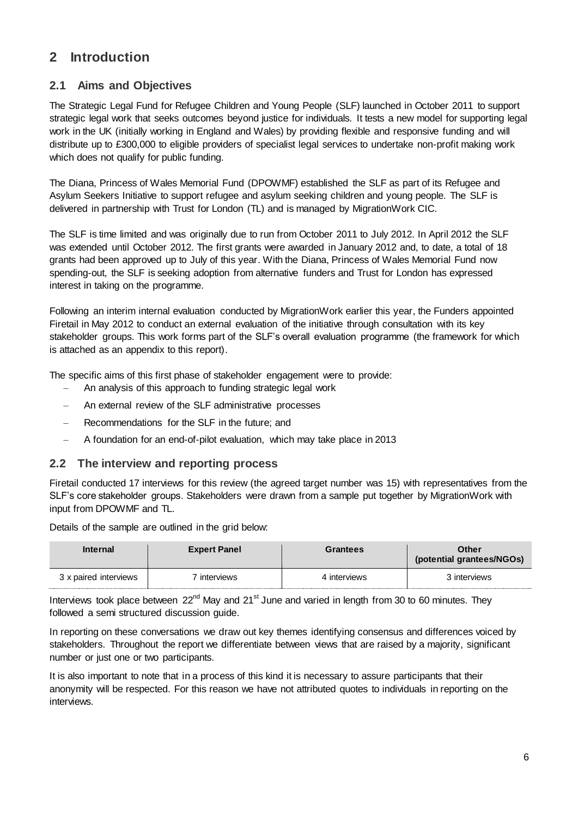## **2 Introduction**

## **2.1 Aims and Objectives**

The Strategic Legal Fund for Refugee Children and Young People (SLF) launched in October 2011 to support strategic legal work that seeks outcomes beyond justice for individuals. It tests a new model for supporting legal work in the UK (initially working in England and Wales) by providing flexible and responsive funding and will distribute up to £300,000 to eligible providers of specialist legal services to undertake non-profit making work which does not qualify for public funding.

The Diana, Princess of Wales Memorial Fund (DPOWMF) established the SLF as part of its Refugee and Asylum Seekers Initiative to support refugee and asylum seeking children and young people. The SLF is delivered in partnership with Trust for London (TL) and is managed by MigrationWork CIC.

The SLF is time limited and was originally due to run from October 2011 to July 2012. In April 2012 the SLF was extended until October 2012. The first grants were awarded in January 2012 and, to date, a total of 18 grants had been approved up to July of this year. With the Diana, Princess of Wales Memorial Fund now spending-out, the SLF is seeking adoption from alternative funders and Trust for London has expressed interest in taking on the programme.

Following an interim internal evaluation conducted by MigrationWork earlier this year, the Funders appointed Firetail in May 2012 to conduct an external evaluation of the initiative through consultation with its key stakeholder groups. This work forms part of the SLF's overall evaluation programme (the framework for which is attached as an appendix to this report).

The specific aims of this first phase of stakeholder engagement were to provide:

- An analysis of this approach to funding strategic legal work
- An external review of the SLF administrative processes
- Recommendations for the SLF in the future; and
- A foundation for an end-of-pilot evaluation, which may take place in 2013

### **2.2 The interview and reporting process**

Firetail conducted 17 interviews for this review (the agreed target number was 15) with representatives from the SLF's core stakeholder groups. Stakeholders were drawn from a sample put together by MigrationWork with input from DPOWMF and TL.

Details of the sample are outlined in the grid below:

| <b>Internal</b>       | <b>Expert Panel</b> | Grantees     | <b>Other</b><br>(potential grantees/NGOs) |
|-----------------------|---------------------|--------------|-------------------------------------------|
| 3 x paired interviews | interviews          | 4 interviews | 3 interviews                              |

Interviews took place between  $22^{nd}$  May and  $21^{st}$  June and varied in length from 30 to 60 minutes. They followed a semi structured discussion guide.

In reporting on these conversations we draw out key themes identifying consensus and differences voiced by stakeholders. Throughout the report we differentiate between views that are raised by a majority, significant number or just one or two participants.

It is also important to note that in a process of this kind it is necessary to assure participants that their anonymity will be respected. For this reason we have not attributed quotes to individuals in reporting on the interviews.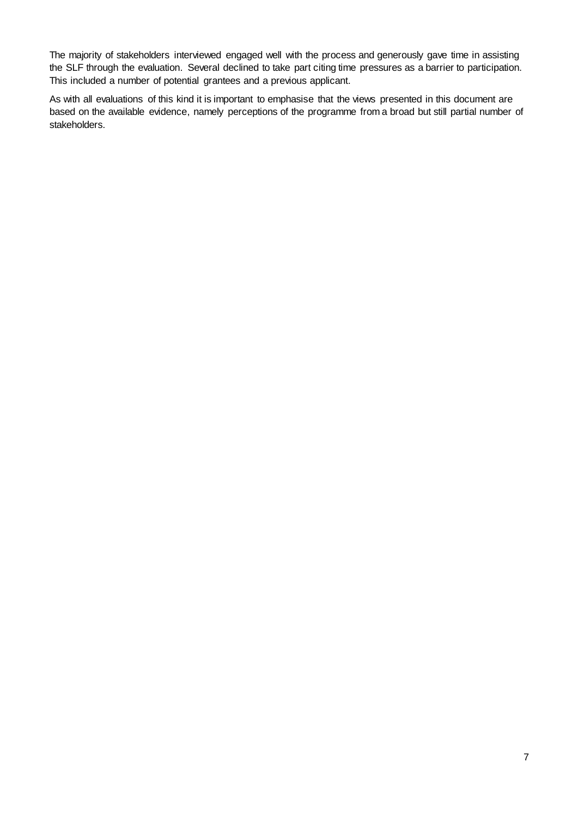The majority of stakeholders interviewed engaged well with the process and generously gave time in assisting the SLF through the evaluation. Several declined to take part citing time pressures as a barrier to participation. This included a number of potential grantees and a previous applicant.

As with all evaluations of this kind it is important to emphasise that the views presented in this document are based on the available evidence, namely perceptions of the programme from a broad but still partial number of stakeholders.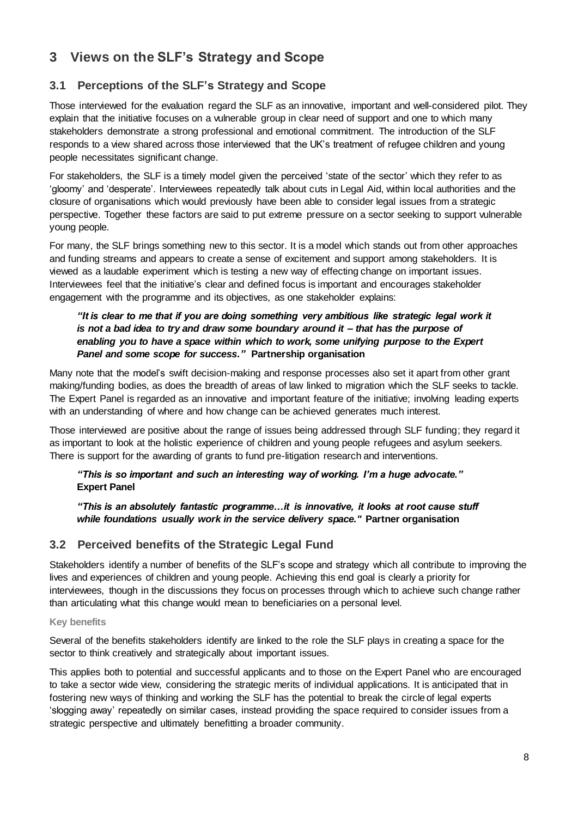## **3 Views on the SLF's Strategy and Scope**

## **3.1 Perceptions of the SLF's Strategy and Scope**

Those interviewed for the evaluation regard the SLF as an innovative, important and well-considered pilot. They explain that the initiative focuses on a vulnerable group in clear need of support and one to which many stakeholders demonstrate a strong professional and emotional commitment. The introduction of the SLF responds to a view shared across those interviewed that the UK's treatment of refugee children and young people necessitates significant change.

For stakeholders, the SLF is a timely model given the perceived 'state of the sector' which they refer to as 'gloomy' and 'desperate'. Interviewees repeatedly talk about cuts in Legal Aid, within local authorities and the closure of organisations which would previously have been able to consider legal issues from a strategic perspective. Together these factors are said to put extreme pressure on a sector seeking to support vulnerable young people.

For many, the SLF brings something new to this sector. It is a model which stands out from other approaches and funding streams and appears to create a sense of excitement and support among stakeholders. It is viewed as a laudable experiment which is testing a new way of effecting change on important issues. Interviewees feel that the initiative's clear and defined focus is important and encourages stakeholder engagement with the programme and its objectives, as one stakeholder explains:

### *"It is clear to me that if you are doing something very ambitious like strategic legal work it is not a bad idea to try and draw some boundary around it – that has the purpose of enabling you to have a space within which to work, some unifying purpose to the Expert Panel and some scope for success."* **Partnership organisation**

Many note that the model's swift decision-making and response processes also set it apart from other grant making/funding bodies, as does the breadth of areas of law linked to migration which the SLF seeks to tackle. The Expert Panel is regarded as an innovative and important feature of the initiative; involving leading experts with an understanding of where and how change can be achieved generates much interest.

Those interviewed are positive about the range of issues being addressed through SLF funding; they regard it as important to look at the holistic experience of children and young people refugees and asylum seekers. There is support for the awarding of grants to fund pre-litigation research and interventions.

### *"This is so important and such an interesting way of working. I'm a huge advocate."*  **Expert Panel**

*"This is an absolutely fantastic programme…it is innovative, it looks at root cause stuff while foundations usually work in the service delivery space."* **Partner organisation**

## **3.2 Perceived benefits of the Strategic Legal Fund**

Stakeholders identify a number of benefits of the SLF's scope and strategy which all contribute to improving the lives and experiences of children and young people. Achieving this end goal is clearly a priority for interviewees, though in the discussions they focus on processes through which to achieve such change rather than articulating what this change would mean to beneficiaries on a personal level.

### **Key benefits**

Several of the benefits stakeholders identify are linked to the role the SLF plays in creating a space for the sector to think creatively and strategically about important issues.

This applies both to potential and successful applicants and to those on the Expert Panel who are encouraged to take a sector wide view, considering the strategic merits of individual applications. It is anticipated that in fostering new ways of thinking and working the SLF has the potential to break the circle of legal experts 'slogging away' repeatedly on similar cases, instead providing the space required to consider issues from a strategic perspective and ultimately benefitting a broader community.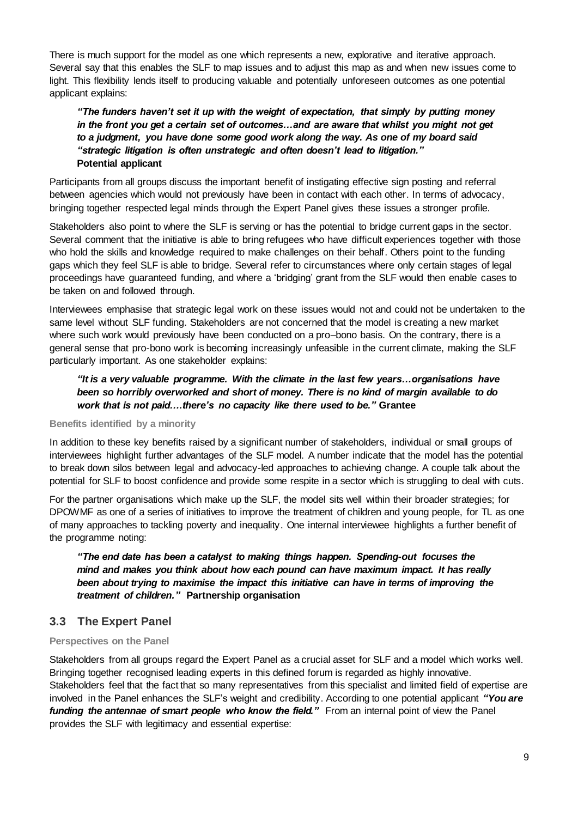There is much support for the model as one which represents a new, explorative and iterative approach. Several say that this enables the SLF to map issues and to adjust this map as and when new issues come to light. This flexibility lends itself to producing valuable and potentially unforeseen outcomes as one potential applicant explains:

### *"The funders haven't set it up with the weight of expectation, that simply by putting money in the front you get a certain set of outcomes…and are aware that whilst you might not get to a judgment, you have done some good work along the way. As one of my board said "strategic litigation is often unstrategic and often doesn't lead to litigation."* **Potential applicant**

Participants from all groups discuss the important benefit of instigating effective sign posting and referral between agencies which would not previously have been in contact with each other. In terms of advocacy, bringing together respected legal minds through the Expert Panel gives these issues a stronger profile.

Stakeholders also point to where the SLF is serving or has the potential to bridge current gaps in the sector. Several comment that the initiative is able to bring refugees who have difficult experiences together with those who hold the skills and knowledge required to make challenges on their behalf. Others point to the funding gaps which they feel SLF is able to bridge. Several refer to circumstances where only certain stages of legal proceedings have guaranteed funding, and where a 'bridging' grant from the SLF would then enable cases to be taken on and followed through.

Interviewees emphasise that strategic legal work on these issues would not and could not be undertaken to the same level without SLF funding. Stakeholders are not concerned that the model is creating a new market where such work would previously have been conducted on a pro–bono basis. On the contrary, there is a general sense that pro-bono work is becoming increasingly unfeasible in the current climate, making the SLF particularly important. As one stakeholder explains:

### *"It is a very valuable programme. With the climate in the last few years…organisations have been so horribly overworked and short of money. There is no kind of margin available to do work that is not paid….there's no capacity like there used to be."* **Grantee**

### **Benefits identified by a minority**

In addition to these key benefits raised by a significant number of stakeholders, individual or small groups of interviewees highlight further advantages of the SLF model. A number indicate that the model has the potential to break down silos between legal and advocacy-led approaches to achieving change. A couple talk about the potential for SLF to boost confidence and provide some respite in a sector which is struggling to deal with cuts.

For the partner organisations which make up the SLF, the model sits well within their broader strategies; for DPOWMF as one of a series of initiatives to improve the treatment of children and young people, for TL as one of many approaches to tackling poverty and inequality. One internal interviewee highlights a further benefit of the programme noting:

*"The end date has been a catalyst to making things happen. Spending-out focuses the mind and makes you think about how each pound can have maximum impact. It has really been about trying to maximise the impact this initiative can have in terms of improving the treatment of children."* **Partnership organisation**

## **3.3 The Expert Panel**

### **Perspectives on the Panel**

Stakeholders from all groups regard the Expert Panel as a crucial asset for SLF and a model which works well. Bringing together recognised leading experts in this defined forum is regarded as highly innovative. Stakeholders feel that the fact that so many representatives from this specialist and limited field of expertise are involved in the Panel enhances the SLF's weight and credibility. According to one potential applicant *"You are funding the antennae of smart people who know the field."* From an internal point of view the Panel provides the SLF with legitimacy and essential expertise: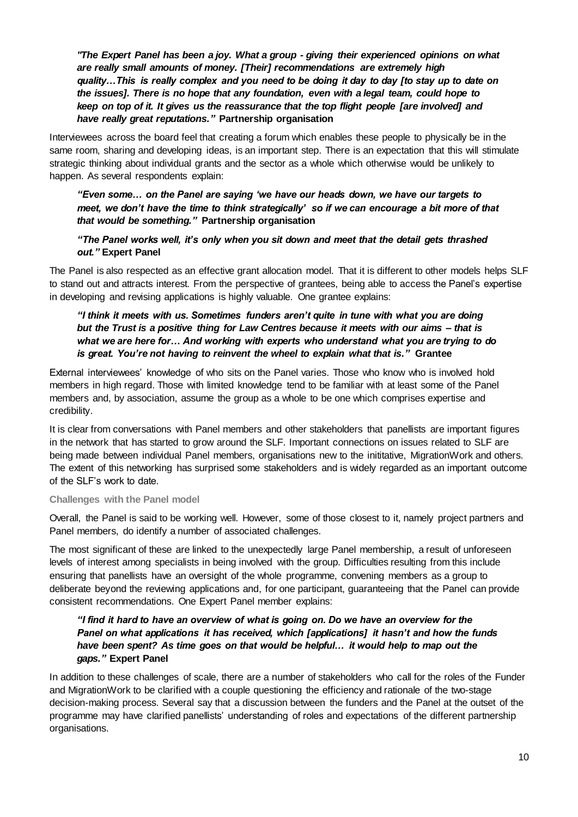*"The Expert Panel has been a joy. What a group - giving their experienced opinions on what are really small amounts of money. [Their] recommendations are extremely high quality…This is really complex and you need to be doing it day to day [to stay up to date on the issues]. There is no hope that any foundation, even with a legal team, could hope to keep on top of it. It gives us the reassurance that the top flight people [are involved] and have really great reputations."* **Partnership organisation**

Interviewees across the board feel that creating a forum which enables these people to physically be in the same room, sharing and developing ideas, is an important step. There is an expectation that this will stimulate strategic thinking about individual grants and the sector as a whole which otherwise would be unlikely to happen. As several respondents explain:

### *"Even some… on the Panel are saying 'we have our heads down, we have our targets to meet, we don't have the time to think strategically' so if we can encourage a bit more of that that would be something."* **Partnership organisation**

### *"The Panel works well, it's only when you sit down and meet that the detail gets thrashed out."* **Expert Panel**

The Panel is also respected as an effective grant allocation model. That it is different to other models helps SLF to stand out and attracts interest. From the perspective of grantees, being able to access the Panel's expertise in developing and revising applications is highly valuable. One grantee explains:

### *"I think it meets with us. Sometimes funders aren't quite in tune with what you are doing but the Trust is a positive thing for Law Centres because it meets with our aims – that is what we are here for… And working with experts who understand what you are trying to do is great. You're not having to reinvent the wheel to explain what that is."* **Grantee**

External interviewees' knowledge of who sits on the Panel varies. Those who know who is involved hold members in high regard. Those with limited knowledge tend to be familiar with at least some of the Panel members and, by association, assume the group as a whole to be one which comprises expertise and credibility.

It is clear from conversations with Panel members and other stakeholders that panellists are important figures in the network that has started to grow around the SLF. Important connections on issues related to SLF are being made between individual Panel members, organisations new to the inititative, MigrationWork and others. The extent of this networking has surprised some stakeholders and is widely regarded as an important outcome of the SLF's work to date.

### **Challenges with the Panel model**

Overall, the Panel is said to be working well. However, some of those closest to it, namely project partners and Panel members, do identify a number of associated challenges.

The most significant of these are linked to the unexpectedly large Panel membership, a result of unforeseen levels of interest among specialists in being involved with the group. Difficulties resulting from this include ensuring that panellists have an oversight of the whole programme, convening members as a group to deliberate beyond the reviewing applications and, for one participant, guaranteeing that the Panel can provide consistent recommendations. One Expert Panel member explains:

### *"I find it hard to have an overview of what is going on. Do we have an overview for the Panel on what applications it has received, which [applications] it hasn't and how the funds*  have been spent? As time goes on that would be helpful... it would help to map out the *gaps."* **Expert Panel**

In addition to these challenges of scale, there are a number of stakeholders who call for the roles of the Funder and MigrationWork to be clarified with a couple questioning the efficiency and rationale of the two-stage decision-making process. Several say that a discussion between the funders and the Panel at the outset of the programme may have clarified panellists' understanding of roles and expectations of the different partnership organisations.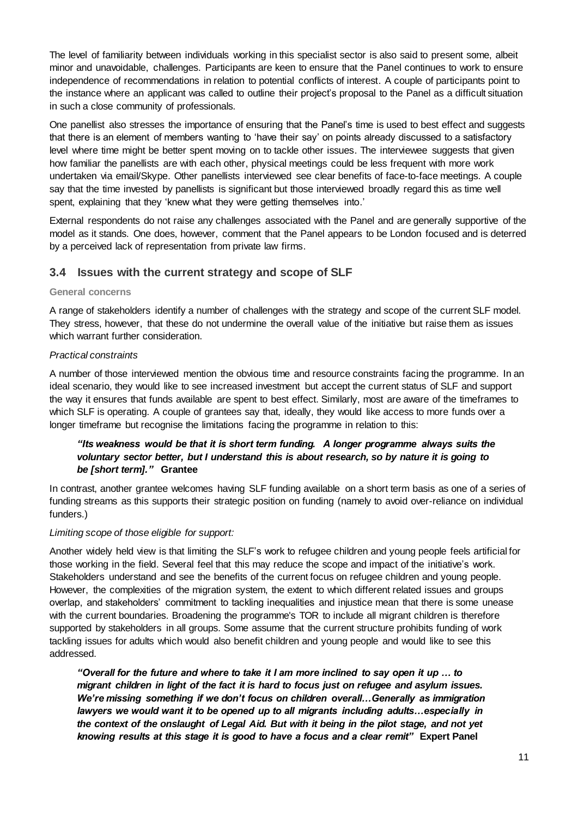The level of familiarity between individuals working in this specialist sector is also said to present some, albeit minor and unavoidable, challenges. Participants are keen to ensure that the Panel continues to work to ensure independence of recommendations in relation to potential conflicts of interest. A couple of participants point to the instance where an applicant was called to outline their project's proposal to the Panel as a difficult situation in such a close community of professionals.

One panellist also stresses the importance of ensuring that the Panel's time is used to best effect and suggests that there is an element of members wanting to 'have their say' on points already discussed to a satisfactory level where time might be better spent moving on to tackle other issues. The interviewee suggests that given how familiar the panellists are with each other, physical meetings could be less frequent with more work undertaken via email/Skype. Other panellists interviewed see clear benefits of face-to-face meetings. A couple say that the time invested by panellists is significant but those interviewed broadly regard this as time well spent, explaining that they 'knew what they were getting themselves into.'

External respondents do not raise any challenges associated with the Panel and are generally supportive of the model as it stands. One does, however, comment that the Panel appears to be London focused and is deterred by a perceived lack of representation from private law firms.

### **3.4 Issues with the current strategy and scope of SLF**

### **General concerns**

A range of stakeholders identify a number of challenges with the strategy and scope of the current SLF model. They stress, however, that these do not undermine the overall value of the initiative but raise them as issues which warrant further consideration.

### *Practical constraints*

A number of those interviewed mention the obvious time and resource constraints facing the programme. In an ideal scenario, they would like to see increased investment but accept the current status of SLF and support the way it ensures that funds available are spent to best effect. Similarly, most are aware of the timeframes to which SLF is operating. A couple of grantees say that, ideally, they would like access to more funds over a longer timeframe but recognise the limitations facing the programme in relation to this:

### *"Its weakness would be that it is short term funding. A longer programme always suits the voluntary sector better, but I understand this is about research, so by nature it is going to be [short term]."* **Grantee**

In contrast, another grantee welcomes having SLF funding available on a short term basis as one of a series of funding streams as this supports their strategic position on funding (namely to avoid over-reliance on individual funders.)

### *Limiting scope of those eligible for support:*

Another widely held view is that limiting the SLF's work to refugee children and young people feels artificial for those working in the field. Several feel that this may reduce the scope and impact of the initiative's work. Stakeholders understand and see the benefits of the current focus on refugee children and young people. However, the complexities of the migration system, the extent to which different related issues and groups overlap, and stakeholders' commitment to tackling inequalities and injustice mean that there is some unease with the current boundaries. Broadening the programme's TOR to include all migrant children is therefore supported by stakeholders in all groups. Some assume that the current structure prohibits funding of work tackling issues for adults which would also benefit children and young people and would like to see this addressed.

*"Overall for the future and where to take it I am more inclined to say open it up … to migrant children in light of the fact it is hard to focus just on refugee and asylum issues. We're missing something if we don't focus on children overall…Generally as immigration lawyers we would want it to be opened up to all migrants including adults…especially in the context of the onslaught of Legal Aid. But with it being in the pilot stage, and not yet knowing results at this stage it is good to have a focus and a clear remit"* **Expert Panel**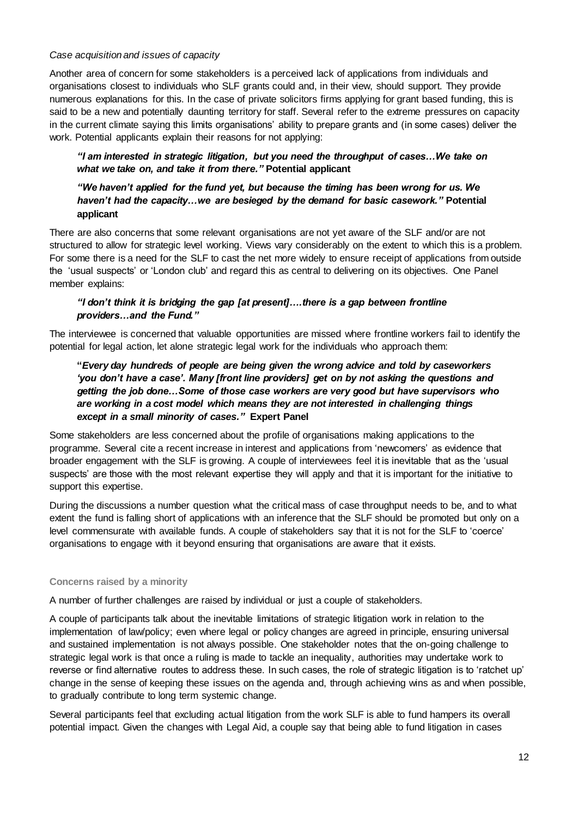#### *Case acquisition and issues of capacity*

Another area of concern for some stakeholders is a perceived lack of applications from individuals and organisations closest to individuals who SLF grants could and, in their view, should support. They provide numerous explanations for this. In the case of private solicitors firms applying for grant based funding, this is said to be a new and potentially daunting territory for staff. Several refer to the extreme pressures on capacity in the current climate saying this limits organisations' ability to prepare grants and (in some cases) deliver the work. Potential applicants explain their reasons for not applying:

### *"I am interested in strategic litigation, but you need the throughput of cases…We take on what we take on, and take it from there."* **Potential applicant**

### *"We haven't applied for the fund yet, but because the timing has been wrong for us. We haven't had the capacity…we are besieged by the demand for basic casework."* **Potential applicant**

There are also concerns that some relevant organisations are not yet aware of the SLF and/or are not structured to allow for strategic level working. Views vary considerably on the extent to which this is a problem. For some there is a need for the SLF to cast the net more widely to ensure receipt of applications from outside the 'usual suspects' or 'London club' and regard this as central to delivering on its objectives. One Panel member explains:

### *"I don't think it is bridging the gap [at present]….there is a gap between frontline providers…and the Fund."*

The interviewee is concerned that valuable opportunities are missed where frontline workers fail to identify the potential for legal action, let alone strategic legal work for the individuals who approach them:

**"***Every day hundreds of people are being given the wrong advice and told by caseworkers 'you don't have a case'. Many [front line providers] get on by not asking the questions and getting the job done…Some of those case workers are very good but have supervisors who are working in a cost model which means they are not interested in challenging things except in a small minority of cases."* **Expert Panel**

Some stakeholders are less concerned about the profile of organisations making applications to the programme. Several cite a recent increase in interest and applications from 'newcomers' as evidence that broader engagement with the SLF is growing. A couple of interviewees feel it is inevitable that as the 'usual suspects' are those with the most relevant expertise they will apply and that it is important for the initiative to support this expertise.

During the discussions a number question what the critical mass of case throughput needs to be, and to what extent the fund is falling short of applications with an inference that the SLF should be promoted but only on a level commensurate with available funds. A couple of stakeholders say that it is not for the SLF to 'coerce' organisations to engage with it beyond ensuring that organisations are aware that it exists.

### **Concerns raised by a minority**

A number of further challenges are raised by individual or just a couple of stakeholders.

A couple of participants talk about the inevitable limitations of strategic litigation work in relation to the implementation of law/policy; even where legal or policy changes are agreed in principle, ensuring universal and sustained implementation is not always possible. One stakeholder notes that the on-going challenge to strategic legal work is that once a ruling is made to tackle an inequality, authorities may undertake work to reverse or find alternative routes to address these. In such cases, the role of strategic litigation is to 'ratchet up' change in the sense of keeping these issues on the agenda and, through achieving wins as and when possible, to gradually contribute to long term systemic change.

Several participants feel that excluding actual litigation from the work SLF is able to fund hampers its overall potential impact. Given the changes with Legal Aid, a couple say that being able to fund litigation in cases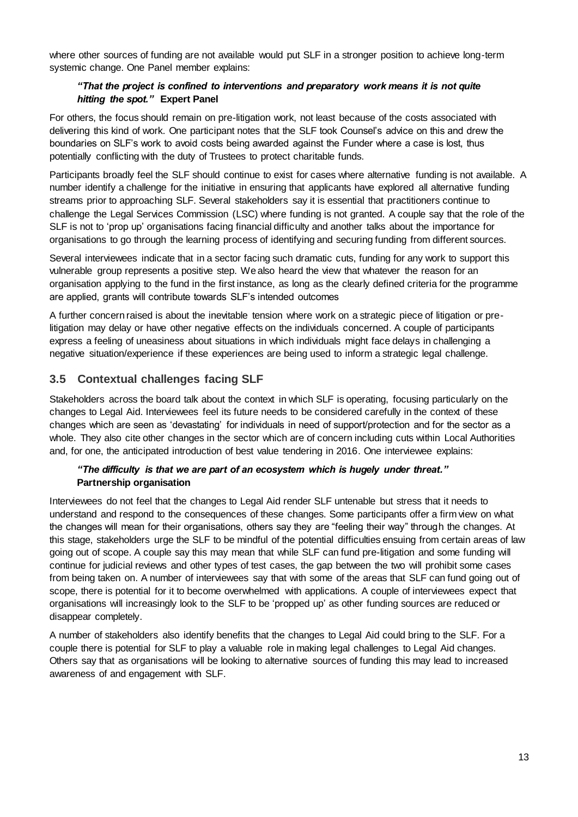where other sources of funding are not available would put SLF in a stronger position to achieve long-term systemic change. One Panel member explains:

### *"That the project is confined to interventions and preparatory work means it is not quite hitting the spot."* **Expert Panel**

For others, the focus should remain on pre-litigation work, not least because of the costs associated with delivering this kind of work. One participant notes that the SLF took Counsel's advice on this and drew the boundaries on SLF's work to avoid costs being awarded against the Funder where a case is lost, thus potentially conflicting with the duty of Trustees to protect charitable funds.

Participants broadly feel the SLF should continue to exist for cases where alternative funding is not available. A number identify a challenge for the initiative in ensuring that applicants have explored all alternative funding streams prior to approaching SLF. Several stakeholders say it is essential that practitioners continue to challenge the Legal Services Commission (LSC) where funding is not granted. A couple say that the role of the SLF is not to 'prop up' organisations facing financial difficulty and another talks about the importance for organisations to go through the learning process of identifying and securing funding from different sources.

Several interviewees indicate that in a sector facing such dramatic cuts, funding for any work to support this vulnerable group represents a positive step. We also heard the view that whatever the reason for an organisation applying to the fund in the first instance, as long as the clearly defined criteria for the programme are applied, grants will contribute towards SLF's intended outcomes

A further concern raised is about the inevitable tension where work on a strategic piece of litigation or prelitigation may delay or have other negative effects on the individuals concerned. A couple of participants express a feeling of uneasiness about situations in which individuals might face delays in challenging a negative situation/experience if these experiences are being used to inform a strategic legal challenge.

## **3.5 Contextual challenges facing SLF**

Stakeholders across the board talk about the context in which SLF is operating, focusing particularly on the changes to Legal Aid. Interviewees feel its future needs to be considered carefully in the context of these changes which are seen as 'devastating' for individuals in need of support/protection and for the sector as a whole. They also cite other changes in the sector which are of concern including cuts within Local Authorities and, for one, the anticipated introduction of best value tendering in 2016. One interviewee explains:

### *"The difficulty is that we are part of an ecosystem which is hugely under threat."*  **Partnership organisation**

Interviewees do not feel that the changes to Legal Aid render SLF untenable but stress that it needs to understand and respond to the consequences of these changes. Some participants offer a firm view on what the changes will mean for their organisations, others say they are "feeling their way" through the changes. At this stage, stakeholders urge the SLF to be mindful of the potential difficulties ensuing from certain areas of law going out of scope. A couple say this may mean that while SLF can fund pre-litigation and some funding will continue for judicial reviews and other types of test cases, the gap between the two will prohibit some cases from being taken on. A number of interviewees say that with some of the areas that SLF can fund going out of scope, there is potential for it to become overwhelmed with applications. A couple of interviewees expect that organisations will increasingly look to the SLF to be 'propped up' as other funding sources are reduced or disappear completely.

A number of stakeholders also identify benefits that the changes to Legal Aid could bring to the SLF. For a couple there is potential for SLF to play a valuable role in making legal challenges to Legal Aid changes. Others say that as organisations will be looking to alternative sources of funding this may lead to increased awareness of and engagement with SLF.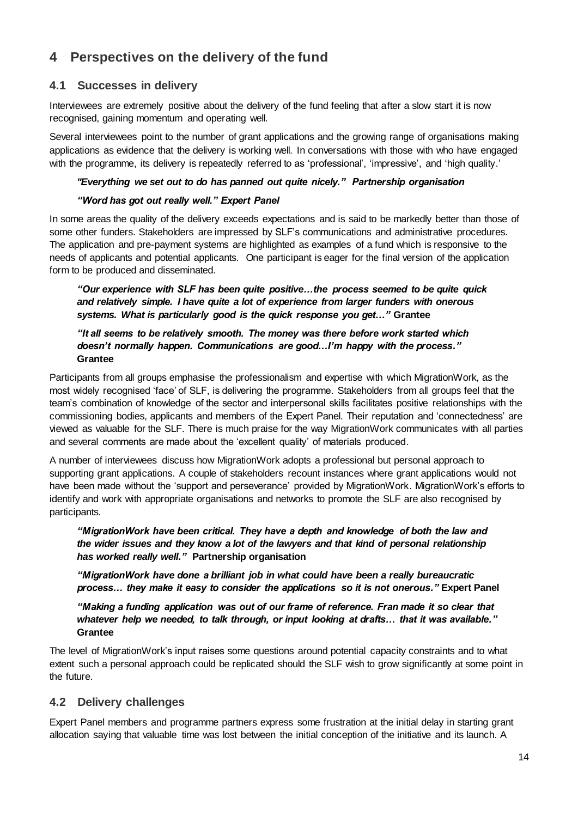## **4 Perspectives on the delivery of the fund**

## **4.1 Successes in delivery**

Interviewees are extremely positive about the delivery of the fund feeling that after a slow start it is now recognised, gaining momentum and operating well.

Several interviewees point to the number of grant applications and the growing range of organisations making applications as evidence that the delivery is working well. In conversations with those with who have engaged with the programme, its delivery is repeatedly referred to as 'professional', 'impressive', and 'high quality.'

### *"Everything we set out to do has panned out quite nicely." Partnership organisation*

### *"Word has got out really well." Expert Panel*

In some areas the quality of the delivery exceeds expectations and is said to be markedly better than those of some other funders. Stakeholders are impressed by SLF's communications and administrative procedures. The application and pre-payment systems are highlighted as examples of a fund which is responsive to the needs of applicants and potential applicants. One participant is eager for the final version of the application form to be produced and disseminated.

*"Our experience with SLF has been quite positive…the process seemed to be quite quick and relatively simple. I have quite a lot of experience from larger funders with onerous systems. What is particularly good is the quick response you get…"* **Grantee**

### *"It all seems to be relatively smooth. The money was there before work started which doesn't normally happen. Communications are good…I'm happy with the process."* **Grantee**

Participants from all groups emphasise the professionalism and expertise with which MigrationWork, as the most widely recognised 'face' of SLF, is delivering the programme. Stakeholders from all groups feel that the team's combination of knowledge of the sector and interpersonal skills facilitates positive relationships with the commissioning bodies, applicants and members of the Expert Panel. Their reputation and 'connectedness' are viewed as valuable for the SLF. There is much praise for the way MigrationWork communicates with all parties and several comments are made about the 'excellent quality' of materials produced.

A number of interviewees discuss how MigrationWork adopts a professional but personal approach to supporting grant applications. A couple of stakeholders recount instances where grant applications would not have been made without the 'support and perseverance' provided by MigrationWork. MigrationWork's efforts to identify and work with appropriate organisations and networks to promote the SLF are also recognised by participants.

*"MigrationWork have been critical. They have a depth and knowledge of both the law and the wider issues and they know a lot of the lawyers and that kind of personal relationship has worked really well."* **Partnership organisation**

*"MigrationWork have done a brilliant job in what could have been a really bureaucratic process… they make it easy to consider the applications so it is not onerous."* **Expert Panel** 

*"Making a funding application was out of our frame of reference. Fran made it so clear that whatever help we needed, to talk through, or input looking at drafts… that it was available."*  **Grantee**

The level of MigrationWork's input raises some questions around potential capacity constraints and to what extent such a personal approach could be replicated should the SLF wish to grow significantly at some point in the future.

### **4.2 Delivery challenges**

Expert Panel members and programme partners express some frustration at the initial delay in starting grant allocation saying that valuable time was lost between the initial conception of the initiative and its launch. A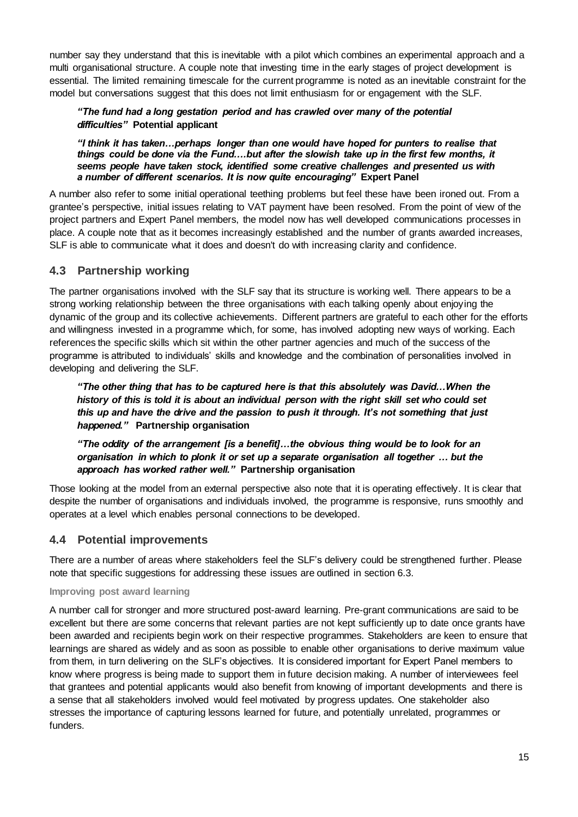number say they understand that this is inevitable with a pilot which combines an experimental approach and a multi organisational structure. A couple note that investing time in the early stages of project development is essential. The limited remaining timescale for the current programme is noted as an inevitable constraint for the model but conversations suggest that this does not limit enthusiasm for or engagement with the SLF.

### *"The fund had a long gestation period and has crawled over many of the potential difficulties"* **Potential applicant**

*"I think it has taken…perhaps longer than one would have hoped for punters to realise that things could be done via the Fund….but after the slowish take up in the first few months, it seems people have taken stock, identified some creative challenges and presented us with a number of different scenarios. It is now quite encouraging"* **Expert Panel**

A number also refer to some initial operational teething problems but feel these have been ironed out. From a grantee's perspective, initial issues relating to VAT payment have been resolved. From the point of view of the project partners and Expert Panel members, the model now has well developed communications processes in place. A couple note that as it becomes increasingly established and the number of grants awarded increases, SLF is able to communicate what it does and doesn't do with increasing clarity and confidence.

## **4.3 Partnership working**

The partner organisations involved with the SLF say that its structure is working well. There appears to be a strong working relationship between the three organisations with each talking openly about enjoying the dynamic of the group and its collective achievements. Different partners are grateful to each other for the efforts and willingness invested in a programme which, for some, has involved adopting new ways of working. Each references the specific skills which sit within the other partner agencies and much of the success of the programme is attributed to individuals' skills and knowledge and the combination of personalities involved in developing and delivering the SLF.

*"The other thing that has to be captured here is that this absolutely was David…When the history of this is told it is about an individual person with the right skill set who could set this up and have the drive and the passion to push it through. It's not something that just happened."* **Partnership organisation**

*"The oddity of the arrangement [is a benefit]…the obvious thing would be to look for an organisation in which to plonk it or set up a separate organisation all together … but the approach has worked rather well."* **Partnership organisation**

Those looking at the model from an external perspective also note that it is operating effectively. It is clear that despite the number of organisations and individuals involved, the programme is responsive, runs smoothly and operates at a level which enables personal connections to be developed.

## **4.4 Potential improvements**

There are a number of areas where stakeholders feel the SLF's delivery could be strengthened further. Please note that specific suggestions for addressing these issues are outlined in section 6.3.

### **Improving post award learning**

A number call for stronger and more structured post-award learning. Pre-grant communications are said to be excellent but there are some concerns that relevant parties are not kept sufficiently up to date once grants have been awarded and recipients begin work on their respective programmes. Stakeholders are keen to ensure that learnings are shared as widely and as soon as possible to enable other organisations to derive maximum value from them, in turn delivering on the SLF's objectives. It is considered important for Expert Panel members to know where progress is being made to support them in future decision making. A number of interviewees feel that grantees and potential applicants would also benefit from knowing of important developments and there is a sense that all stakeholders involved would feel motivated by progress updates. One stakeholder also stresses the importance of capturing lessons learned for future, and potentially unrelated, programmes or funders.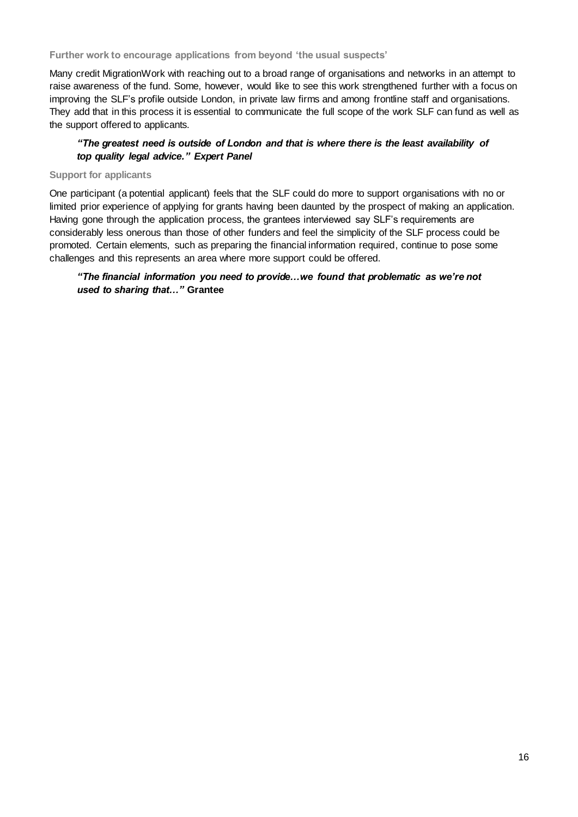**Further work to encourage applications from beyond 'the usual suspects'** 

Many credit MigrationWork with reaching out to a broad range of organisations and networks in an attempt to raise awareness of the fund. Some, however, would like to see this work strengthened further with a focus on improving the SLF's profile outside London, in private law firms and among frontline staff and organisations. They add that in this process it is essential to communicate the full scope of the work SLF can fund as well as the support offered to applicants.

### *"The greatest need is outside of London and that is where there is the least availability of top quality legal advice." Expert Panel*

#### **Support for applicants**

One participant (a potential applicant) feels that the SLF could do more to support organisations with no or limited prior experience of applying for grants having been daunted by the prospect of making an application. Having gone through the application process, the grantees interviewed say SLF's requirements are considerably less onerous than those of other funders and feel the simplicity of the SLF process could be promoted. Certain elements, such as preparing the financial information required, continue to pose some challenges and this represents an area where more support could be offered.

### *"The financial information you need to provide…we found that problematic as we're not used to sharing that…"* **Grantee**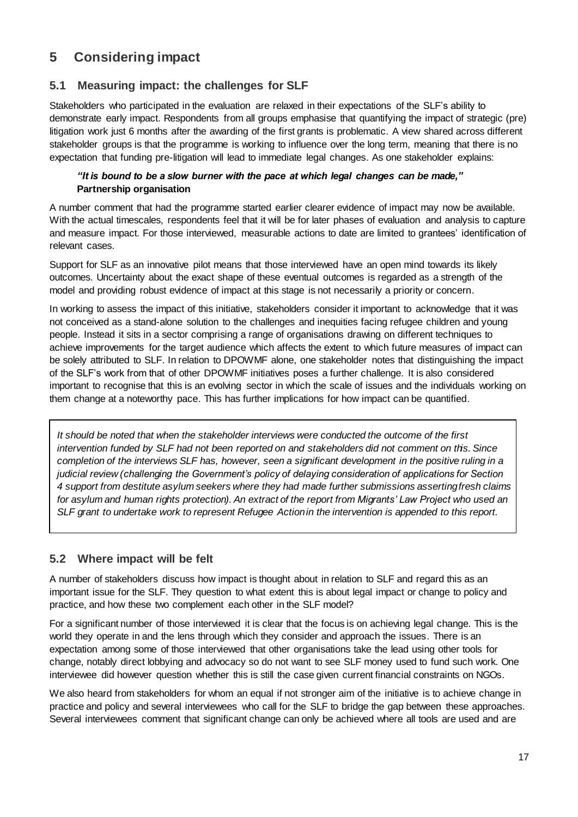## **5 Considering impact**

## **5.1 Measuring impact: the challenges for SLF**

Stakeholders who participated in the evaluation are relaxed in their expectations of the SLF's ability to demonstrate early impact. Respondents from all groups emphasise that quantifying the impact of strategic (pre) litigation work just 6 months after the awarding of the first grants is problematic. A view shared across different stakeholder groups is that the programme is working to influence over the long term, meaning that there is no expectation that funding pre-litigation will lead to immediate legal changes. As one stakeholder explains:

### *"It is bound to be a slow burner with the pace at which legal changes can be made,"*  **Partnership organisation**

A number comment that had the programme started earlier clearer evidence of impact may now be available. With the actual timescales, respondents feel that it will be for later phases of evaluation and analysis to capture and measure impact. For those interviewed, measurable actions to date are limited to grantees' identification of relevant cases.

Support for SLF as an innovative pilot means that those interviewed have an open mind towards its likely outcomes. Uncertainty about the exact shape of these eventual outcomes is regarded as a strength of the model and providing robust evidence of impact at this stage is not necessarily a priority or concern.

In working to assess the impact of this initiative, stakeholders consider it important to acknowledge that it was not conceived as a stand-alone solution to the challenges and inequities facing refugee children and young people. Instead it sits in a sector comprising a range of organisations drawing on different techniques to achieve improvements for the target audience which affects the extent to which future measures of impact can be solely attributed to SLF. In relation to DPOWMF alone, one stakeholder notes that distinguishing the impact of the SLF's work from that of other DPOWMF initiatives poses a further challenge. It is also considered important to recognise that this is an evolving sector in which the scale of issues and the individuals working on them change at a noteworthy pace. This has further implications for how impact can be quantified.

*It should be noted that when the stakeholder interviews were conducted the outcome of the first intervention funded by SLF had not been reported on and stakeholders did not comment on this. Since completion of the interviews SLF has, however, seen a significant development in the positive ruling in a judicial review (challenging the Government's policy of delaying consideration of applications for Section 4 support from destitute asylum seekers where they had made further submissions asserting fresh claims for asylum and human rights protection). An extract of the report from Migrants' Law Project who used an SLF grant to undertake work to represent Refugee Action in the intervention is appended to this report.* 

## **5.2 Where impact will be felt**

A number of stakeholders discuss how impact is thought about in relation to SLF and regard this as an important issue for the SLF. They question to what extent this is about legal impact or change to policy and practice, and how these two complement each other in the SLF model?

For a significant number of those interviewed it is clear that the focus is on achieving legal change. This is the world they operate in and the lens through which they consider and approach the issues. There is an expectation among some of those interviewed that other organisations take the lead using other tools for change, notably direct lobbying and advocacy so do not want to see SLF money used to fund such work. One interviewee did however question whether this is still the case given current financial constraints on NGOs.

We also heard from stakeholders for whom an equal if not stronger aim of the initiative is to achieve change in practice and policy and several interviewees who call for the SLF to bridge the gap between these approaches. Several interviewees comment that significant change can only be achieved where all tools are used and are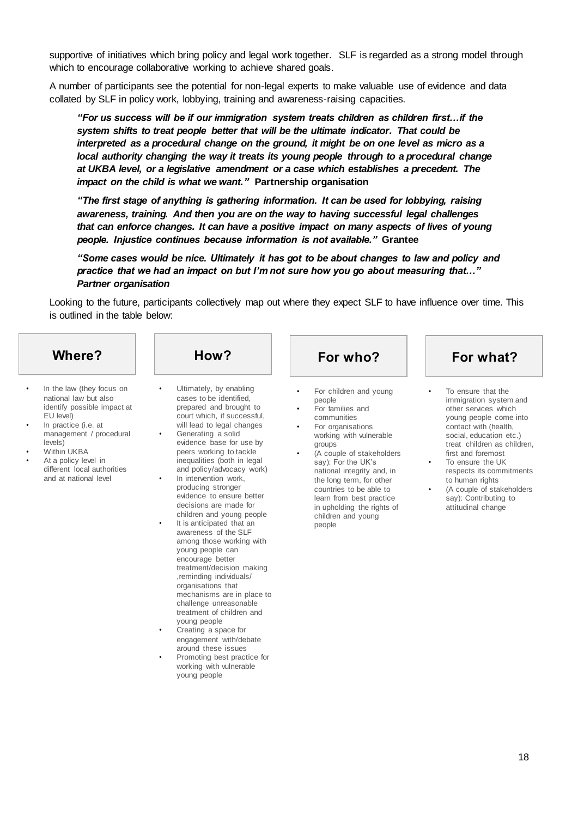supportive of initiatives which bring policy and legal work together. SLF is regarded as a strong model through which to encourage collaborative working to achieve shared goals.

A number of participants see the potential for non-legal experts to make valuable use of evidence and data collated by SLF in policy work, lobbying, training and awareness-raising capacities.

*"For us success will be if our immigration system treats children as children first…if the system shifts to treat people better that will be the ultimate indicator. That could be interpreted as a procedural change on the ground, it might be on one level as micro as a local authority changing the way it treats its young people through to a procedural change at UKBA level, or a legislative amendment or a case which establishes a precedent. The impact on the child is what we want."* **Partnership organisation**

*"The first stage of anything is gathering information. It can be used for lobbying, raising awareness, training. And then you are on the way to having successful legal challenges that can enforce changes. It can have a positive impact on many aspects of lives of young people. Injustice continues because information is not available."* **Grantee**

*"Some cases would be nice. Ultimately it has got to be about changes to law and policy and practice that we had an impact on but I'm not sure how you go about measuring that…" Partner organisation*

Looking to the future, participants collectively map out where they expect SLF to have influence over time. This is outlined in the table below:

| <b>Where?</b>                                                                                                                                                                                                                                                      | How?                                                                                                                                                                                                                                                                                                                                                                                                                                                                                                                                                                                                                                                                                                                                                                                                                                                  | For who?                                                                                                                                                                                                                                                                                                                                                                                                            | For what?                                                                                                                                                                                                                                                                                                                                                           |
|--------------------------------------------------------------------------------------------------------------------------------------------------------------------------------------------------------------------------------------------------------------------|-------------------------------------------------------------------------------------------------------------------------------------------------------------------------------------------------------------------------------------------------------------------------------------------------------------------------------------------------------------------------------------------------------------------------------------------------------------------------------------------------------------------------------------------------------------------------------------------------------------------------------------------------------------------------------------------------------------------------------------------------------------------------------------------------------------------------------------------------------|---------------------------------------------------------------------------------------------------------------------------------------------------------------------------------------------------------------------------------------------------------------------------------------------------------------------------------------------------------------------------------------------------------------------|---------------------------------------------------------------------------------------------------------------------------------------------------------------------------------------------------------------------------------------------------------------------------------------------------------------------------------------------------------------------|
| In the law (they focus on<br>national law but also<br>identify possible impact at<br>EU level)<br>In practice (i.e. at<br>management / procedural<br>levels)<br><b>Within UKBA</b><br>At a policy level in<br>different local authorities<br>and at national level | Ultimately, by enabling<br>$\bullet$<br>cases to be identified.<br>prepared and brought to<br>court which, if successful,<br>will lead to legal changes<br>Generating a solid<br>$\bullet$<br>evidence base for use by<br>peers working to tackle<br>inequalities (both in legal<br>and policy/advocacy work)<br>In intervention work,<br>$\bullet$<br>producing stronger<br>evidence to ensure better<br>decisions are made for<br>children and young people<br>It is anticipated that an<br>$\bullet$<br>awareness of the SLF<br>among those working with<br>young people can<br>encourage better<br>treatment/decision making<br>,reminding individuals/<br>organisations that<br>mechanisms are in place to<br>challenge unreasonable<br>treatment of children and<br>young people<br>Creating a space for<br>$\bullet$<br>engagement with/debate | For children and young<br>$\bullet$<br>people<br>For families and<br>$\bullet$<br>communities<br>For organisations<br>$\bullet$<br>working with vulnerable<br>groups<br>(A couple of stakeholders<br>$\bullet$<br>say): For the UK's<br>national integrity and, in<br>the long term, for other<br>countries to be able to<br>learn from best practice<br>in upholding the rights of<br>children and young<br>people | To ensure that the<br>immigration system and<br>other services which<br>young people come into<br>contact with (health,<br>social, education etc.)<br>treat children as children,<br>first and foremost<br>To ensure the UK<br>respects its commitments<br>to human rights<br>(A couple of stakeholders<br>$\bullet$<br>say): Contributing to<br>attitudinal change |

around these issues • Promoting best practice for working with vulnerable young people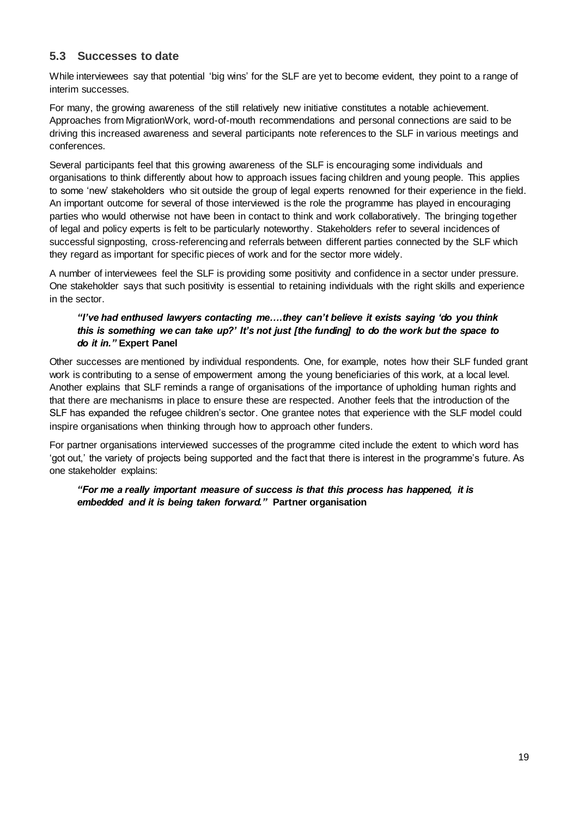## **5.3 Successes to date**

While interviewees say that potential 'big wins' for the SLF are yet to become evident, they point to a range of interim successes.

For many, the growing awareness of the still relatively new initiative constitutes a notable achievement. Approaches from MigrationWork, word-of-mouth recommendations and personal connections are said to be driving this increased awareness and several participants note references to the SLF in various meetings and conferences.

Several participants feel that this growing awareness of the SLF is encouraging some individuals and organisations to think differently about how to approach issues facing children and young people. This applies to some 'new' stakeholders who sit outside the group of legal experts renowned for their experience in the field. An important outcome for several of those interviewed is the role the programme has played in encouraging parties who would otherwise not have been in contact to think and work collaboratively. The bringing together of legal and policy experts is felt to be particularly noteworthy. Stakeholders refer to several incidences of successful signposting, cross-referencing and referrals between different parties connected by the SLF which they regard as important for specific pieces of work and for the sector more widely.

A number of interviewees feel the SLF is providing some positivity and confidence in a sector under pressure. One stakeholder says that such positivity is essential to retaining individuals with the right skills and experience in the sector.

### *"I've had enthused lawyers contacting me….they can't believe it exists saying 'do you think this is something we can take up?' It's not just [the funding] to do the work but the space to do it in."* **Expert Panel**

Other successes are mentioned by individual respondents. One, for example, notes how their SLF funded grant work is contributing to a sense of empowerment among the young beneficiaries of this work, at a local level. Another explains that SLF reminds a range of organisations of the importance of upholding human rights and that there are mechanisms in place to ensure these are respected. Another feels that the introduction of the SLF has expanded the refugee children's sector. One grantee notes that experience with the SLF model could inspire organisations when thinking through how to approach other funders.

For partner organisations interviewed successes of the programme cited include the extent to which word has 'got out,' the variety of projects being supported and the fact that there is interest in the programme's future. As one stakeholder explains:

*"For me a really important measure of success is that this process has happened, it is embedded and it is being taken forward."* **Partner organisation**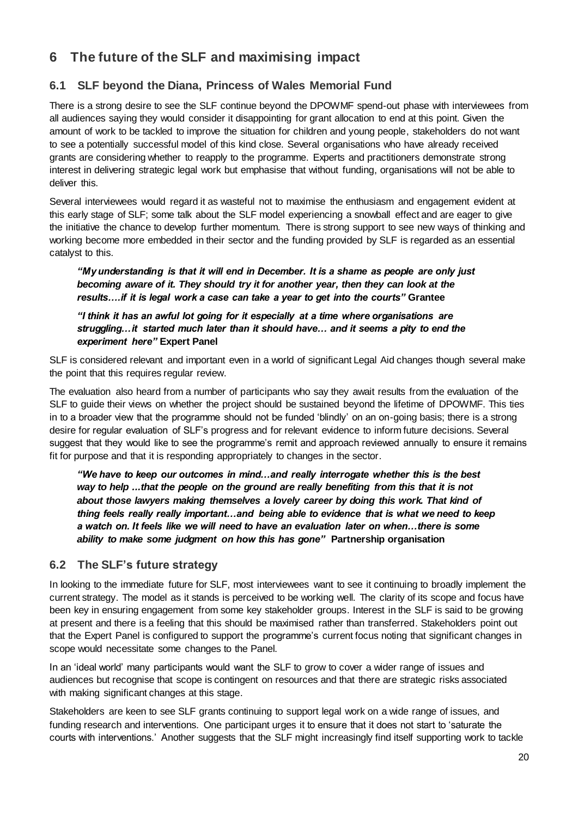## **6 The future of the SLF and maximising impact**

## **6.1 SLF beyond the Diana, Princess of Wales Memorial Fund**

There is a strong desire to see the SLF continue beyond the DPOWMF spend-out phase with interviewees from all audiences saying they would consider it disappointing for grant allocation to end at this point. Given the amount of work to be tackled to improve the situation for children and young people, stakeholders do not want to see a potentially successful model of this kind close. Several organisations who have already received grants are considering whether to reapply to the programme. Experts and practitioners demonstrate strong interest in delivering strategic legal work but emphasise that without funding, organisations will not be able to deliver this.

Several interviewees would regard it as wasteful not to maximise the enthusiasm and engagement evident at this early stage of SLF; some talk about the SLF model experiencing a snowball effect and are eager to give the initiative the chance to develop further momentum. There is strong support to see new ways of thinking and working become more embedded in their sector and the funding provided by SLF is regarded as an essential catalyst to this.

*"My understanding is that it will end in December. It is a shame as people are only just becoming aware of it. They should try it for another year, then they can look at the results….if it is legal work a case can take a year to get into the courts"* **Grantee**

*"I think it has an awful lot going for it especially at a time where organisations are struggling…it started much later than it should have… and it seems a pity to end the experiment here"* **Expert Panel**

SLF is considered relevant and important even in a world of significant Legal Aid changes though several make the point that this requires regular review.

The evaluation also heard from a number of participants who say they await results from the evaluation of the SLF to guide their views on whether the project should be sustained beyond the lifetime of DPOWMF. This ties in to a broader view that the programme should not be funded 'blindly' on an on-going basis; there is a strong desire for regular evaluation of SLF's progress and for relevant evidence to inform future decisions. Several suggest that they would like to see the programme's remit and approach reviewed annually to ensure it remains fit for purpose and that it is responding appropriately to changes in the sector.

*"We have to keep our outcomes in mind…and really interrogate whether this is the best way to help ...that the people on the ground are really benefiting from this that it is not*  about those lawyers making themselves a lovely career by doing this work. That kind of *thing feels really really important…and being able to evidence that is what we need to keep a watch on. It feels like we will need to have an evaluation later on when…there is some ability to make some judgment on how this has gone"* **Partnership organisation**

## **6.2 The SLF's future strategy**

In looking to the immediate future for SLF, most interviewees want to see it continuing to broadly implement the current strategy. The model as it stands is perceived to be working well. The clarity of its scope and focus have been key in ensuring engagement from some key stakeholder groups. Interest in the SLF is said to be growing at present and there is a feeling that this should be maximised rather than transferred. Stakeholders point out that the Expert Panel is configured to support the programme's current focus noting that significant changes in scope would necessitate some changes to the Panel.

In an 'ideal world' many participants would want the SLF to grow to cover a wider range of issues and audiences but recognise that scope is contingent on resources and that there are strategic risks associated with making significant changes at this stage.

Stakeholders are keen to see SLF grants continuing to support legal work on a wide range of issues, and funding research and interventions. One participant urges it to ensure that it does not start to 'saturate the courts with interventions.' Another suggests that the SLF might increasingly find itself supporting work to tackle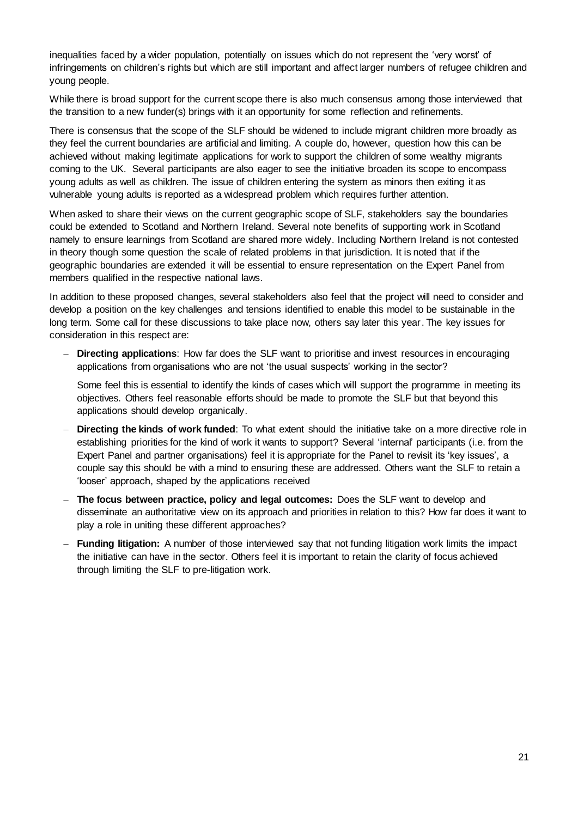inequalities faced by a wider population, potentially on issues which do not represent the 'very worst' of infringements on children's rights but which are still important and affect larger numbers of refugee children and young people.

While there is broad support for the current scope there is also much consensus among those interviewed that the transition to a new funder(s) brings with it an opportunity for some reflection and refinements.

There is consensus that the scope of the SLF should be widened to include migrant children more broadly as they feel the current boundaries are artificial and limiting. A couple do, however, question how this can be achieved without making legitimate applications for work to support the children of some wealthy migrants coming to the UK. Several participants are also eager to see the initiative broaden its scope to encompass young adults as well as children. The issue of children entering the system as minors then exiting it as vulnerable young adults is reported as a widespread problem which requires further attention.

When asked to share their views on the current geographic scope of SLF, stakeholders say the boundaries could be extended to Scotland and Northern Ireland. Several note benefits of supporting work in Scotland namely to ensure learnings from Scotland are shared more widely. Including Northern Ireland is not contested in theory though some question the scale of related problems in that jurisdiction. It is noted that if the geographic boundaries are extended it will be essential to ensure representation on the Expert Panel from members qualified in the respective national laws.

In addition to these proposed changes, several stakeholders also feel that the project will need to consider and develop a position on the key challenges and tensions identified to enable this model to be sustainable in the long term. Some call for these discussions to take place now, others say later this year. The key issues for consideration in this respect are:

– **Directing applications**: How far does the SLF want to prioritise and invest resources in encouraging applications from organisations who are not 'the usual suspects' working in the sector?

Some feel this is essential to identify the kinds of cases which will support the programme in meeting its objectives. Others feel reasonable efforts should be made to promote the SLF but that beyond this applications should develop organically.

- **Directing the kinds of work funded**: To what extent should the initiative take on a more directive role in establishing priorities for the kind of work it wants to support? Several 'internal' participants (i.e. from the Expert Panel and partner organisations) feel it is appropriate for the Panel to revisit its 'key issues', a couple say this should be with a mind to ensuring these are addressed. Others want the SLF to retain a 'looser' approach, shaped by the applications received
- **The focus between practice, policy and legal outcomes:** Does the SLF want to develop and disseminate an authoritative view on its approach and priorities in relation to this? How far does it want to play a role in uniting these different approaches?
- **Funding litigation:** A number of those interviewed say that not funding litigation work limits the impact the initiative can have in the sector. Others feel it is important to retain the clarity of focus achieved through limiting the SLF to pre-litigation work.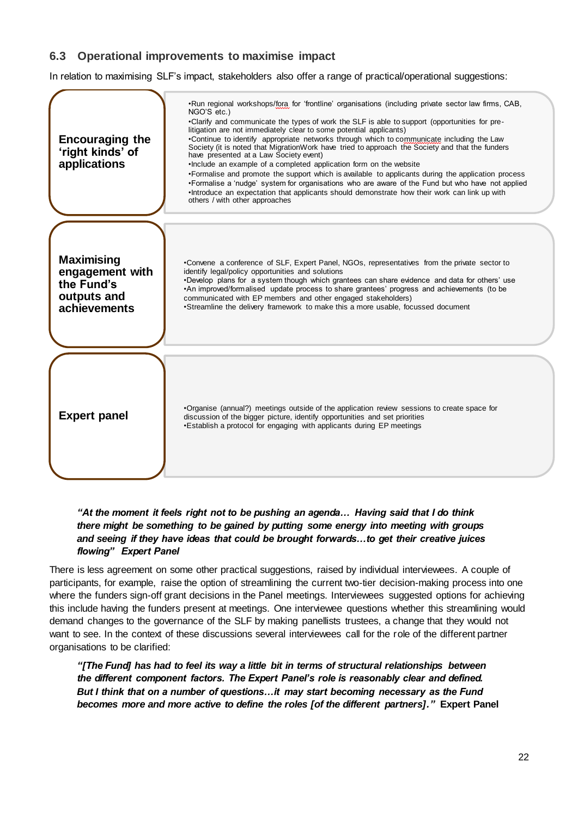## **6.3 Operational improvements to maximise impact**

In relation to maximising SLF's impact, stakeholders also offer a range of practical/operational suggestions:

| <b>Encouraging the</b><br>'right kinds' of<br>applications                        | . Run regional workshops/fora for 'frontline' organisations (including private sector law firms, CAB,<br>NGO'S etc.)<br>. Clarify and communicate the types of work the SLF is able to support (opportunities for pre-<br>litigation are not immediately clear to some potential applicants)<br>. Continue to identify appropriate networks through which to communicate including the Law<br>Society (it is noted that MigrationWork have tried to approach the Society and that the funders<br>have presented at a Law Society event)<br>. Include an example of a completed application form on the website<br>•Formalise and promote the support which is available to applicants during the application process<br>•Formalise a 'nudge' system for organisations who are aware of the Fund but who have not applied<br>. Introduce an expectation that applicants should demonstrate how their work can link up with<br>others / with other approaches |
|-----------------------------------------------------------------------------------|-------------------------------------------------------------------------------------------------------------------------------------------------------------------------------------------------------------------------------------------------------------------------------------------------------------------------------------------------------------------------------------------------------------------------------------------------------------------------------------------------------------------------------------------------------------------------------------------------------------------------------------------------------------------------------------------------------------------------------------------------------------------------------------------------------------------------------------------------------------------------------------------------------------------------------------------------------------|
| <b>Maximising</b><br>engagement with<br>the Fund's<br>outputs and<br>achievements | •Convene a conference of SLF, Expert Panel, NGOs, representatives from the private sector to<br>identify legal/policy opportunities and solutions<br>. Develop plans for a system though which grantees can share evidence and data for others' use<br>•An improved/formalised update process to share grantees' progress and achievements (to be<br>communicated with EP members and other engaged stakeholders)<br>•Streamline the delivery framework to make this a more usable, focussed document                                                                                                                                                                                                                                                                                                                                                                                                                                                       |
| <b>Expert panel</b>                                                               | •Organise (annual?) meetings outside of the application review sessions to create space for<br>discussion of the bigger picture, identify opportunities and set priorities<br>. Establish a protocol for engaging with applicants during EP meetings                                                                                                                                                                                                                                                                                                                                                                                                                                                                                                                                                                                                                                                                                                        |

### *"At the moment it feels right not to be pushing an agenda… Having said that I do think there might be something to be gained by putting some energy into meeting with groups and seeing if they have ideas that could be brought forwards…to get their creative juices flowing" Expert Panel*

There is less agreement on some other practical suggestions, raised by individual interviewees. A couple of participants, for example, raise the option of streamlining the current two-tier decision-making process into one where the funders sign-off grant decisions in the Panel meetings. Interviewees suggested options for achieving this include having the funders present at meetings. One interviewee questions whether this streamlining would demand changes to the governance of the SLF by making panellists trustees, a change that they would not want to see. In the context of these discussions several interviewees call for the role of the different partner organisations to be clarified:

*"[The Fund] has had to feel its way a little bit in terms of structural relationships between the different component factors. The Expert Panel's role is reasonably clear and defined. But I think that on a number of questions…it may start becoming necessary as the Fund becomes more and more active to define the roles [of the different partners]."* **Expert Panel**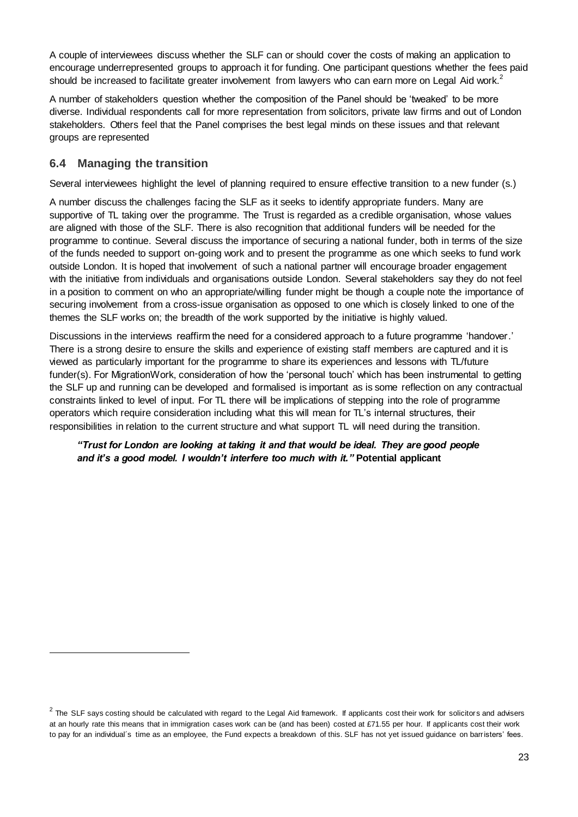A couple of interviewees discuss whether the SLF can or should cover the costs of making an application to encourage underrepresented groups to approach it for funding. One participant questions whether the fees paid should be increased to facilitate greater involvement from lawyers who can earn more on Legal Aid work.<sup>2</sup>

A number of stakeholders question whether the composition of the Panel should be 'tweaked' to be more diverse. Individual respondents call for more representation from solicitors, private law firms and out of London stakeholders. Others feel that the Panel comprises the best legal minds on these issues and that relevant groups are represented

### **6.4 Managing the transition**

 $\overline{a}$ 

Several interviewees highlight the level of planning required to ensure effective transition to a new funder (s.)

A number discuss the challenges facing the SLF as it seeks to identify appropriate funders. Many are supportive of TL taking over the programme. The Trust is regarded as a credible organisation, whose values are aligned with those of the SLF. There is also recognition that additional funders will be needed for the programme to continue. Several discuss the importance of securing a national funder, both in terms of the size of the funds needed to support on-going work and to present the programme as one which seeks to fund work outside London. It is hoped that involvement of such a national partner will encourage broader engagement with the initiative from individuals and organisations outside London. Several stakeholders say they do not feel in a position to comment on who an appropriate/willing funder might be though a couple note the importance of securing involvement from a cross-issue organisation as opposed to one which is closely linked to one of the themes the SLF works on; the breadth of the work supported by the initiative is highly valued.

Discussions in the interviews reaffirm the need for a considered approach to a future programme 'handover.' There is a strong desire to ensure the skills and experience of existing staff members are captured and it is viewed as particularly important for the programme to share its experiences and lessons with TL/future funder(s). For MigrationWork, consideration of how the 'personal touch' which has been instrumental to getting the SLF up and running can be developed and formalised is important as is some reflection on any contractual constraints linked to level of input. For TL there will be implications of stepping into the role of programme operators which require consideration including what this will mean for TL's internal structures, their responsibilities in relation to the current structure and what support TL will need during the transition.

### *"Trust for London are looking at taking it and that would be ideal. They are good people and it's a good model. I wouldn't interfere too much with it."* **Potential applicant**

 $^2$  The SLF says costing should be calculated with regard to the Legal Aid framework. If applicants cost their work for solicitors and advisers at an hourly rate this means that in immigration cases work can be (and has been) costed at £71.55 per hour. If applicants cost their work to pay for an individual´s time as an employee, the Fund expects a breakdown of this. SLF has not yet issued guidance on barristers' fees.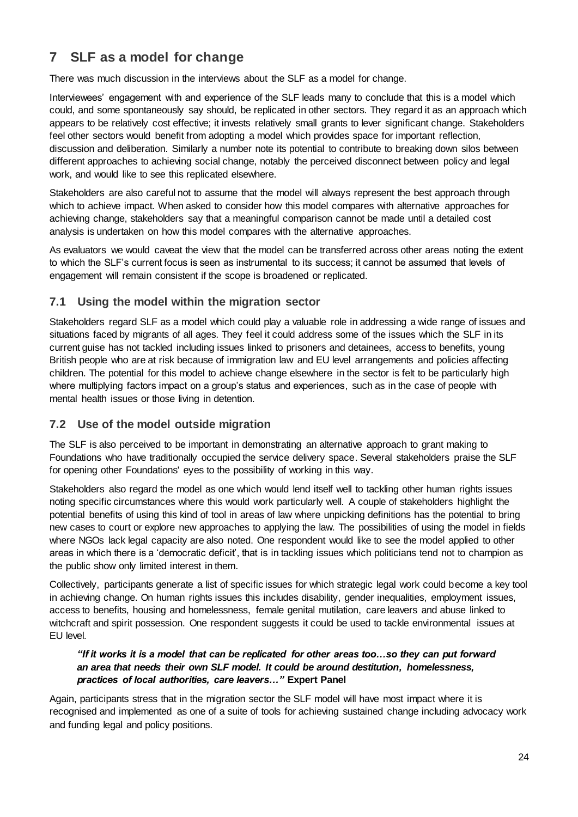## **7 SLF as a model for change**

There was much discussion in the interviews about the SLF as a model for change.

Interviewees' engagement with and experience of the SLF leads many to conclude that this is a model which could, and some spontaneously say should, be replicated in other sectors. They regard it as an approach which appears to be relatively cost effective; it invests relatively small grants to lever significant change. Stakeholders feel other sectors would benefit from adopting a model which provides space for important reflection, discussion and deliberation. Similarly a number note its potential to contribute to breaking down silos between different approaches to achieving social change, notably the perceived disconnect between policy and legal work, and would like to see this replicated elsewhere.

Stakeholders are also careful not to assume that the model will always represent the best approach through which to achieve impact. When asked to consider how this model compares with alternative approaches for achieving change, stakeholders say that a meaningful comparison cannot be made until a detailed cost analysis is undertaken on how this model compares with the alternative approaches.

As evaluators we would caveat the view that the model can be transferred across other areas noting the extent to which the SLF's current focus is seen as instrumental to its success; it cannot be assumed that levels of engagement will remain consistent if the scope is broadened or replicated.

## **7.1 Using the model within the migration sector**

Stakeholders regard SLF as a model which could play a valuable role in addressing a wide range of issues and situations faced by migrants of all ages. They feel it could address some of the issues which the SLF in its current guise has not tackled including issues linked to prisoners and detainees, access to benefits, young British people who are at risk because of immigration law and EU level arrangements and policies affecting children. The potential for this model to achieve change elsewhere in the sector is felt to be particularly high where multiplying factors impact on a group's status and experiences, such as in the case of people with mental health issues or those living in detention.

## **7.2 Use of the model outside migration**

The SLF is also perceived to be important in demonstrating an alternative approach to grant making to Foundations who have traditionally occupied the service delivery space. Several stakeholders praise the SLF for opening other Foundations' eyes to the possibility of working in this way.

Stakeholders also regard the model as one which would lend itself well to tackling other human rights issues noting specific circumstances where this would work particularly well. A couple of stakeholders highlight the potential benefits of using this kind of tool in areas of law where unpicking definitions has the potential to bring new cases to court or explore new approaches to applying the law. The possibilities of using the model in fields where NGOs lack legal capacity are also noted. One respondent would like to see the model applied to other areas in which there is a 'democratic deficit', that is in tackling issues which politicians tend not to champion as the public show only limited interest in them.

Collectively, participants generate a list of specific issues for which strategic legal work could become a key tool in achieving change. On human rights issues this includes disability, gender inequalities, employment issues, access to benefits, housing and homelessness, female genital mutilation, care leavers and abuse linked to witchcraft and spirit possession. One respondent suggests it could be used to tackle environmental issues at EU level.

### *"If it works it is a model that can be replicated for other areas too…so they can put forward an area that needs their own SLF model. It could be around destitution, homelessness, practices of local authorities, care leavers…"* **Expert Panel**

Again, participants stress that in the migration sector the SLF model will have most impact where it is recognised and implemented as one of a suite of tools for achieving sustained change including advocacy work and funding legal and policy positions.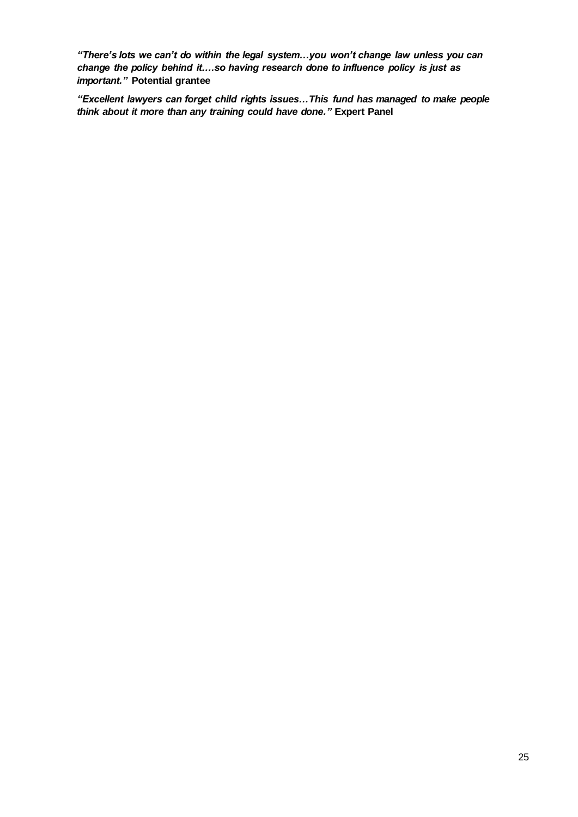*"There's lots we can't do within the legal system…you won't change law unless you can change the policy behind it….so having research done to influence policy is just as important."* **Potential grantee**

*"Excellent lawyers can forget child rights issues…This fund has managed to make people think about it more than any training could have done."* **Expert Panel**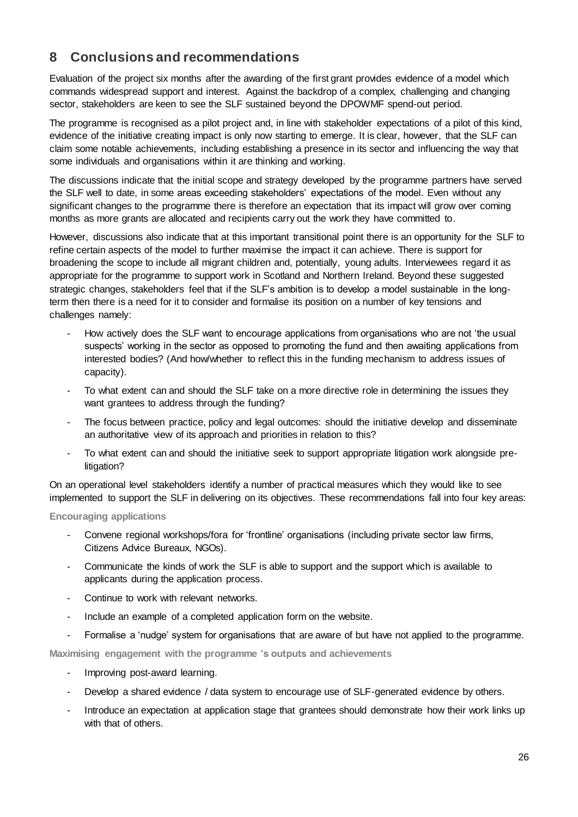## **8 Conclusions and recommendations**

Evaluation of the project six months after the awarding of the first grant provides evidence of a model which commands widespread support and interest. Against the backdrop of a complex, challenging and changing sector, stakeholders are keen to see the SLF sustained beyond the DPOWMF spend-out period.

The programme is recognised as a pilot project and, in line with stakeholder expectations of a pilot of this kind, evidence of the initiative creating impact is only now starting to emerge. It is clear, however, that the SLF can claim some notable achievements, including establishing a presence in its sector and influencing the way that some individuals and organisations within it are thinking and working.

The discussions indicate that the initial scope and strategy developed by the programme partners have served the SLF well to date, in some areas exceeding stakeholders' expectations of the model. Even without any significant changes to the programme there is therefore an expectation that its impact will grow over coming months as more grants are allocated and recipients carry out the work they have committed to.

However, discussions also indicate that at this important transitional point there is an opportunity for the SLF to refine certain aspects of the model to further maximise the impact it can achieve. There is support for broadening the scope to include all migrant children and, potentially, young adults. Interviewees regard it as appropriate for the programme to support work in Scotland and Northern Ireland. Beyond these suggested strategic changes, stakeholders feel that if the SLF's ambition is to develop a model sustainable in the longterm then there is a need for it to consider and formalise its position on a number of key tensions and challenges namely:

- How actively does the SLF want to encourage applications from organisations who are not 'the usual suspects' working in the sector as opposed to promoting the fund and then awaiting applications from interested bodies? (And how/whether to reflect this in the funding mechanism to address issues of capacity).
- To what extent can and should the SLF take on a more directive role in determining the issues they want grantees to address through the funding?
- The focus between practice, policy and legal outcomes: should the initiative develop and disseminate an authoritative view of its approach and priorities in relation to this?
- To what extent can and should the initiative seek to support appropriate litigation work alongside prelitigation?

On an operational level stakeholders identify a number of practical measures which they would like to see implemented to support the SLF in delivering on its objectives. These recommendations fall into four key areas:

### **Encouraging applications**

- Convene regional workshops/fora for 'frontline' organisations (including private sector law firms, Citizens Advice Bureaux, NGOs).
- Communicate the kinds of work the SLF is able to support and the support which is available to applicants during the application process.
- Continue to work with relevant networks.
- Include an example of a completed application form on the website.
- Formalise a 'nudge' system for organisations that are aware of but have not applied to the programme.

**Maximising engagement with the programme 's outputs and achievements**

- Improving post-award learning.
- Develop a shared evidence / data system to encourage use of SLF-generated evidence by others.
- Introduce an expectation at application stage that grantees should demonstrate how their work links up with that of others.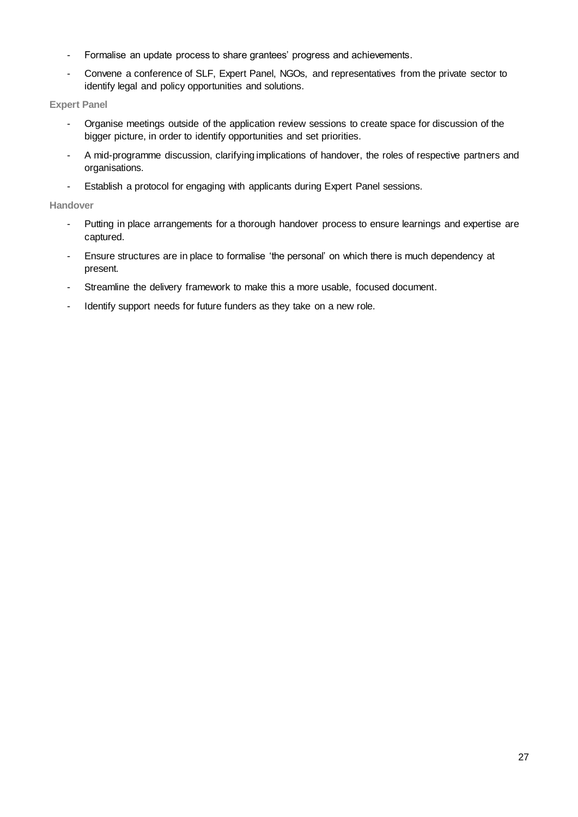- Formalise an update process to share grantees' progress and achievements.
- Convene a conference of SLF, Expert Panel, NGOs, and representatives from the private sector to identify legal and policy opportunities and solutions.

### **Expert Panel**

- Organise meetings outside of the application review sessions to create space for discussion of the bigger picture, in order to identify opportunities and set priorities.
- A mid-programme discussion, clarifying implications of handover, the roles of respective partners and organisations.
- Establish a protocol for engaging with applicants during Expert Panel sessions.

### **Handover**

- Putting in place arrangements for a thorough handover process to ensure learnings and expertise are captured.
- Ensure structures are in place to formalise 'the personal' on which there is much dependency at present.
- Streamline the delivery framework to make this a more usable, focused document.
- Identify support needs for future funders as they take on a new role.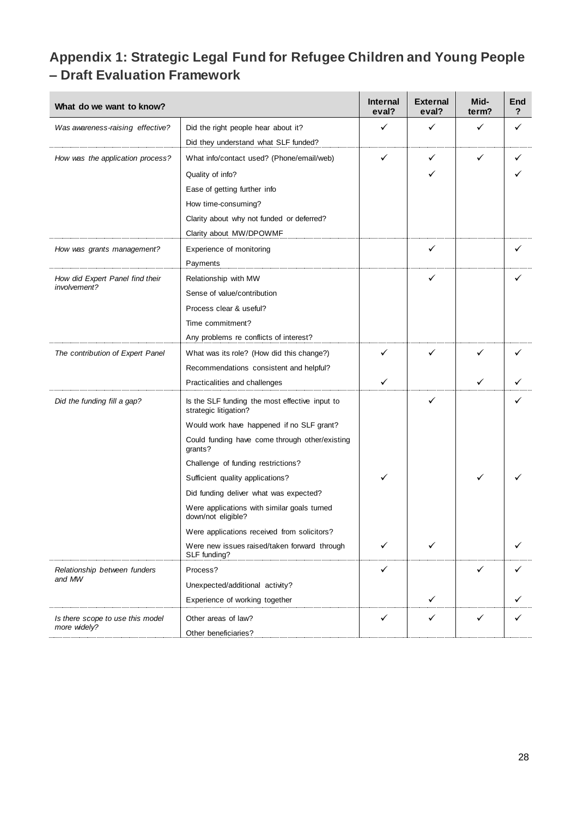# **Appendix 1: Strategic Legal Fund for Refugee Children and Young People – Draft Evaluation Framework**

| What do we want to know?         |                                                                         | <b>Internal</b><br>eval? | <b>External</b><br>eval? | Mid-<br>term? | End<br>? |
|----------------------------------|-------------------------------------------------------------------------|--------------------------|--------------------------|---------------|----------|
| Was awareness-raising effective? | Did the right people hear about it?                                     | ✓<br>✓                   |                          | ✓             | ✓        |
|                                  | Did they understand what SLF funded?                                    |                          |                          |               |          |
| How was the application process? | What info/contact used? (Phone/email/web)                               | ✓                        | ✓                        |               |          |
|                                  | Quality of info?                                                        |                          |                          |               |          |
|                                  | Ease of getting further info                                            |                          |                          |               |          |
|                                  | How time-consuming?                                                     |                          |                          |               |          |
|                                  | Clarity about why not funded or deferred?                               |                          |                          |               |          |
|                                  | Clarity about MW/DPOWMF                                                 |                          |                          |               |          |
| How was grants management?       | Experience of monitoring                                                |                          | ✓                        |               |          |
|                                  | Payments                                                                |                          |                          |               |          |
| How did Expert Panel find their  | Relationship with MW                                                    |                          | ✓                        |               |          |
| involvement?                     | Sense of value/contribution                                             |                          |                          |               |          |
|                                  | Process clear & useful?                                                 |                          |                          |               |          |
|                                  | Time commitment?                                                        |                          |                          |               |          |
|                                  | Any problems re conflicts of interest?                                  |                          |                          |               |          |
| The contribution of Expert Panel | What was its role? (How did this change?)                               | ✓                        | ✓                        | ✓             |          |
|                                  | Recommendations consistent and helpful?                                 |                          |                          |               |          |
|                                  | Practicalities and challenges                                           | ✓                        |                          | ✓             |          |
| Did the funding fill a gap?      | Is the SLF funding the most effective input to<br>strategic litigation? |                          | ✓                        |               |          |
|                                  | Would work have happened if no SLF grant?                               |                          |                          |               |          |
|                                  | Could funding have come through other/existing<br>grants?               |                          |                          |               |          |
|                                  | Challenge of funding restrictions?                                      |                          |                          |               |          |
|                                  | Sufficient quality applications?                                        |                          |                          |               |          |
|                                  | Did funding deliver what was expected?                                  |                          |                          |               |          |
|                                  | Were applications with similar goals turned<br>down/not eligible?       |                          |                          |               |          |
|                                  | Were applications received from solicitors?                             |                          |                          |               |          |
|                                  | Were new issues raised/taken forward through<br>SLF funding?            | ✓                        |                          |               | ✓        |
| Relationship between funders     | Process?                                                                | ✓                        |                          |               |          |
| and MW                           | Unexpected/additional activity?                                         |                          |                          |               |          |
|                                  | Experience of working together                                          |                          | ✓                        |               |          |
| Is there scope to use this model | Other areas of law?                                                     | ✓                        | ✓                        | ✓             | ✓        |
| more widely?                     | Other beneficiaries?                                                    |                          |                          |               |          |